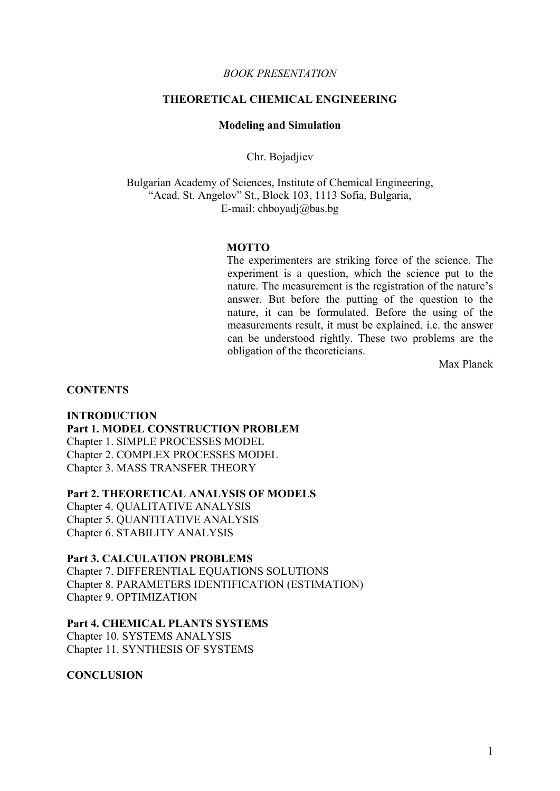### *BOOK PRESENTATION*

# **THEORETICAL CHEMICAL ENGINEERING**

### **Modeling and Simulation**

Chr. Bojadjiev

Bulgarian Academy of Sciences, Institute of Chemical Engineering, "Acad. St. Angelov" St., Block 103, 1113 Sofia, Bulgaria, E-mail: chboyadj@bas.bg

### **MOTTO**

The experimenters are striking force of the science. The experiment is a question, which the science put to the nature. The measurement is the registration of the nature's answer. But before the putting of the question to the nature, it can be formulated. Before the using of the measurements result, it must be explained, i.e. the answer can be understood rightly. These two problems are the obligation of the theoreticians.

Max Planck

#### **CONTENTS**

# **INTRODUCTION Part 1. MODEL CONSTRUCTION PROBLEM**  Chapter 1. SIMPLE PROCESSES MODEL Chapter 2. COMPLEX PROCESSES MODEL

Chapter 3. MASS TRANSFER THEORY

# **Part 2. THEORETICAL ANALYSIS OF MODELS**

Chapter 4. QUALITATIVE ANALYSIS Chapter 5. QUANTITATIVE ANALYSIS Chapter 6. STABILITY ANALYSIS

# **Part 3. CALCULATION PROBLEMS**

Chapter 7. DIFFERENTIAL EQUATIONS SOLUTIONS Chapter 8. PARAMETERS IDENTIFICATION (ESTIMATION) Chapter 9. OPTIMIZATION

## **Part 4. CHEMICAL PLANTS SYSTEMS**

Chapter 10. SYSTEMS ANALYSIS Chapter 11. SYNTHESIS OF SYSTEMS

## **CONCLUSION**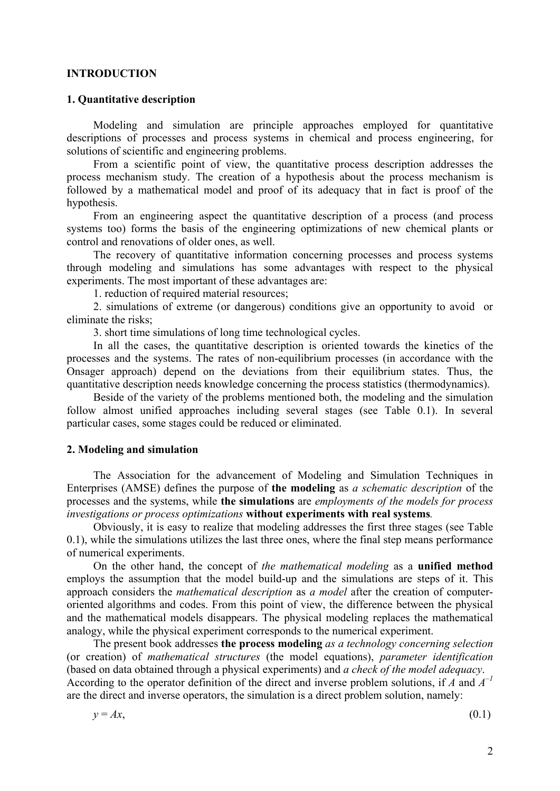### **INTRODUCTION**

## **1. Quantitative description**

Modeling and simulation are principle approaches employed for quantitative descriptions of processes and process systems in chemical and process engineering, for solutions of scientific and engineering problems.

From a scientific point of view, the quantitative process description addresses the process mechanism study. The creation of a hypothesis about the process mechanism is followed by a mathematical model and proof of its adequacy that in fact is proof of the hypothesis.

From an engineering aspect the quantitative description of a process (and process systems too) forms the basis of the engineering optimizations of new chemical plants or control and renovations of older ones, as well.

The recovery of quantitative information concerning processes and process systems through modeling and simulations has some advantages with respect to the physical experiments. The most important of these advantages are:

1. reduction of required material resources;

2. simulations of extreme (or dangerous) conditions give an opportunity to avoid or eliminate the risks;

3. short time simulations of long time technological cycles.

In all the cases, the quantitative description is oriented towards the kinetics of the processes and the systems. The rates of non-equilibrium processes (in accordance with the Onsager approach) depend on the deviations from their equilibrium states. Thus, the quantitative description needs knowledge concerning the process statistics (thermodynamics).

Beside of the variety of the problems mentioned both, the modeling and the simulation follow almost unified approaches including several stages (see Table 0.1). In several particular cases, some stages could be reduced or eliminated.

## **2. Modeling and simulation**

The Association for the advancement of Modeling and Simulation Techniques in Enterprises (AMSE) defines the purpose of **the modeling** as *a schematic description* of the processes and the systems, while **the simulations** are *employments of the models for process investigations or process optimizations* **without experiments with real systems***.* 

Obviously, it is easy to realize that modeling addresses the first three stages (see Table 0.1), while the simulations utilizes the last three ones, where the final step means performance of numerical experiments.

On the other hand, the concept of *the mathematical modeling* as a **unified method** employs the assumption that the model build-up and the simulations are steps of it. This approach considers the *mathematical description* as *a model* after the creation of computeroriented algorithms and codes. From this point of view, the difference between the physical and the mathematical models disappears. The physical modeling replaces the mathematical analogy, while the physical experiment corresponds to the numerical experiment.

The present book addresses **the process modeling** *as a technology concerning selection* (or creation) of *mathematical structures* (the model equations), *parameter identification* (based on data obtained through a physical experiments) and *a check of the model adequacy*. According to the operator definition of the direct and inverse problem solutions, if *A* and *A–1* are the direct and inverse operators, the simulation is a direct problem solution, namely:

$$
y = Ax,\tag{0.1}
$$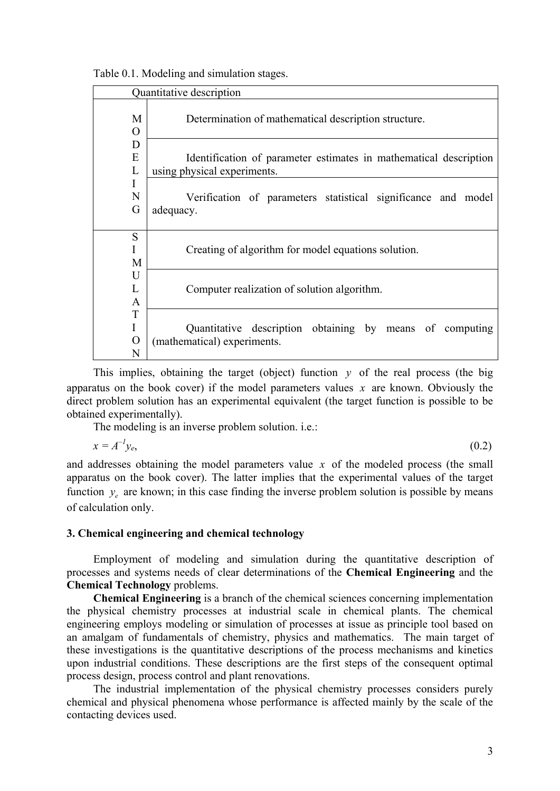| Table 0.1. Modeling and simulation stages. |  |
|--------------------------------------------|--|
|--------------------------------------------|--|

| Quantitative description      |                                                                                                  |
|-------------------------------|--------------------------------------------------------------------------------------------------|
| M<br>$\Omega$                 | Determination of mathematical description structure.                                             |
| D<br>E<br>L                   | Identification of parameter estimates in mathematical description<br>using physical experiments. |
| Ι<br>N<br>G                   | Verification of parameters statistical significance and model<br>adequacy.                       |
| S<br>M                        | Creating of algorithm for model equations solution.                                              |
| U<br>L<br>$\mathsf{A}$        | Computer realization of solution algorithm.                                                      |
| T<br>I<br>$\overline{O}$<br>N | Quantitative description obtaining by means of computing<br>(mathematical) experiments.          |

This implies, obtaining the target (object) function  $y$  of the real process (the big apparatus on the book cover) if the model parameters values *x* are known. Obviously the direct problem solution has an experimental equivalent (the target function is possible to be obtained experimentally).

The modeling is an inverse problem solution. i.e.:

 $x = A^{-1}v_{e}$  $y_e$ , (0.2)

and addresses obtaining the model parameters value *x* of the modeled process (the small apparatus on the book cover). The latter implies that the experimental values of the target function  $y_e$  are known; in this case finding the inverse problem solution is possible by means of calculation only.

# **3. Chemical engineering and chemical technology**

Employment of modeling and simulation during the quantitative description of processes and systems needs of clear determinations of the **Chemical Engineering** and the **Chemical Technology** problems.

**Chemical Engineering** is a branch of the chemical sciences concerning implementation the physical chemistry processes at industrial scale in chemical plants. The chemical engineering employs modeling or simulation of processes at issue as principle tool based on an amalgam of fundamentals of chemistry, physics and mathematics. The main target of these investigations is the quantitative descriptions of the process mechanisms and kinetics upon industrial conditions. These descriptions are the first steps of the consequent optimal process design, process control and plant renovations.

The industrial implementation of the physical chemistry processes considers purely chemical and physical phenomena whose performance is affected mainly by the scale of the contacting devices used.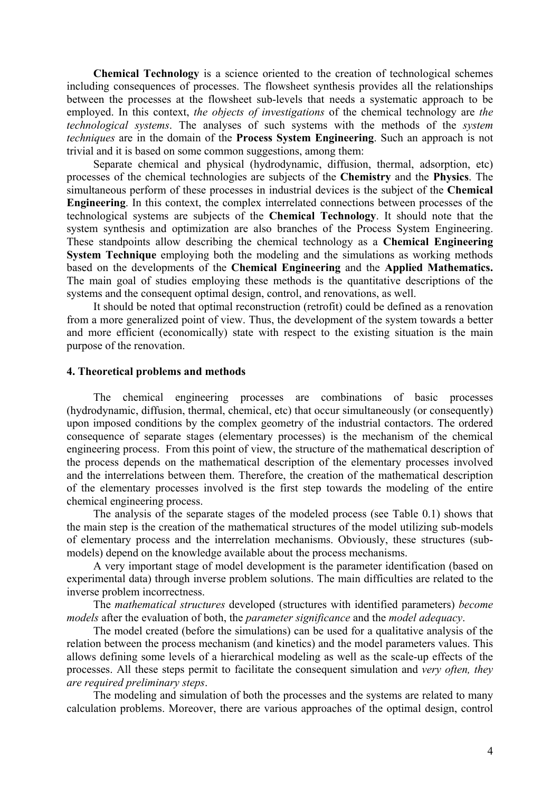**Chemical Technology** is a science oriented to the creation of technological schemes including consequences of processes. The flowsheet synthesis provides all the relationships between the processes at the flowsheet sub-levels that needs a systematic approach to be employed. In this context, *the objects of investigations* of the chemical technology are *the technological systems*. The analyses of such systems with the methods of the *system techniques* are in the domain of the **Process System Engineering**. Such an approach is not trivial and it is based on some common suggestions, among them:

Separate chemical and physical (hydrodynamic, diffusion, thermal, adsorption, etc) processes of the chemical technologies are subjects of the **Chemistry** and the **Physics**. The simultaneous perform of these processes in industrial devices is the subject of the **Chemical Engineering**. In this context, the complex interrelated connections between processes of the technological systems are subjects of the **Chemical Technology**. It should note that the system synthesis and optimization are also branches of the Process System Engineering. These standpoints allow describing the chemical technology as a **Chemical Engineering System Technique** employing both the modeling and the simulations as working methods based on the developments of the **Chemical Engineering** and the **Applied Mathematics.**  The main goal of studies employing these methods is the quantitative descriptions of the systems and the consequent optimal design, control, and renovations, as well.

It should be noted that optimal reconstruction (retrofit) could be defined as a renovation from a more generalized point of view. Thus, the development of the system towards a better and more efficient (economically) state with respect to the existing situation is the main purpose of the renovation.

### **4. Theoretical problems and methods**

The chemical engineering processes are combinations of basic processes (hydrodynamic, diffusion, thermal, chemical, etc) that occur simultaneously (or consequently) upon imposed conditions by the complex geometry of the industrial contactors. The ordered consequence of separate stages (elementary processes) is the mechanism of the chemical engineering process. From this point of view, the structure of the mathematical description of the process depends on the mathematical description of the elementary processes involved and the interrelations between them. Therefore, the creation of the mathematical description of the elementary processes involved is the first step towards the modeling of the entire chemical engineering process.

The analysis of the separate stages of the modeled process (see Table 0.1) shows that the main step is the creation of the mathematical structures of the model utilizing sub-models of elementary process and the interrelation mechanisms. Obviously, these structures (submodels) depend on the knowledge available about the process mechanisms.

A very important stage of model development is the parameter identification (based on experimental data) through inverse problem solutions. The main difficulties are related to the inverse problem incorrectness.

The *mathematical structures* developed (structures with identified parameters) *become models* after the evaluation of both, the *parameter significance* and the *model adequacy*.

The model created (before the simulations) can be used for a qualitative analysis of the relation between the process mechanism (and kinetics) and the model parameters values. This allows defining some levels of a hierarchical modeling as well as the scale-up effects of the processes. All these steps permit to facilitate the consequent simulation and *very often, they are required preliminary steps*.

The modeling and simulation of both the processes and the systems are related to many calculation problems. Moreover, there are various approaches of the optimal design, control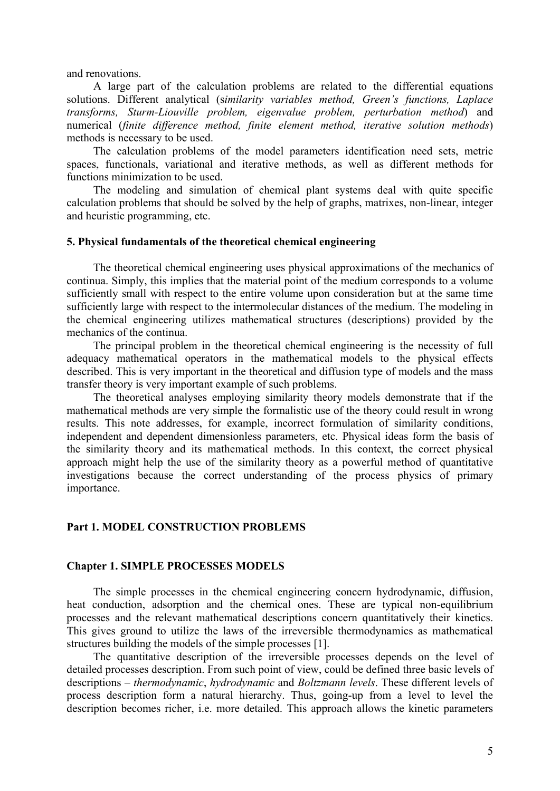and renovations.

A large part of the calculation problems are related to the differential equations solutions. Different analytical (s*imilarity variables method, Green's functions, Laplace transforms, Sturm-Liouville problem, eigenvalue problem, perturbation method*) and numerical (*finite difference method, finite element method, iterative solution methods*) methods is necessary to be used.

The calculation problems of the model parameters identification need sets, metric spaces, functionals, variational and iterative methods, as well as different methods for functions minimization to be used.

The modeling and simulation of chemical plant systems deal with quite specific calculation problems that should be solved by the help of graphs, matrixes, non-linear, integer and heuristic programming, etc.

### **5. Physical fundamentals of the theoretical chemical engineering**

The theoretical chemical engineering uses physical approximations of the mechanics of continua. Simply, this implies that the material point of the medium corresponds to a volume sufficiently small with respect to the entire volume upon consideration but at the same time sufficiently large with respect to the intermolecular distances of the medium. The modeling in the chemical engineering utilizes mathematical structures (descriptions) provided by the mechanics of the continua.

The principal problem in the theoretical chemical engineering is the necessity of full adequacy mathematical operators in the mathematical models to the physical effects described. This is very important in the theoretical and diffusion type of models and the mass transfer theory is very important example of such problems.

The theoretical analyses employing similarity theory models demonstrate that if the mathematical methods are very simple the formalistic use of the theory could result in wrong results. This note addresses, for example, incorrect formulation of similarity conditions, independent and dependent dimensionless parameters, etc. Physical ideas form the basis of the similarity theory and its mathematical methods. In this context, the correct physical approach might help the use of the similarity theory as a powerful method of quantitative investigations because the correct understanding of the process physics of primary importance.

### **Part 1. MODEL CONSTRUCTION PROBLEMS**

## **Chapter 1. SIMPLE PROCESSES MODELS**

The simple processes in the chemical engineering concern hydrodynamic, diffusion, heat conduction, adsorption and the chemical ones. These are typical non-equilibrium processes and the relevant mathematical descriptions concern quantitatively their kinetics. This gives ground to utilize the laws of the irreversible thermodynamics as mathematical structures building the models of the simple processes [1].

The quantitative description of the irreversible processes depends on the level of detailed processes description. From such point of view, could be defined three basic levels of descriptions – *thermodynamic*, *hydrodynamic* and *Boltzmann levels*. These different levels of process description form a natural hierarchy. Thus, going-up from a level to level the description becomes richer, i.e. more detailed. This approach allows the kinetic parameters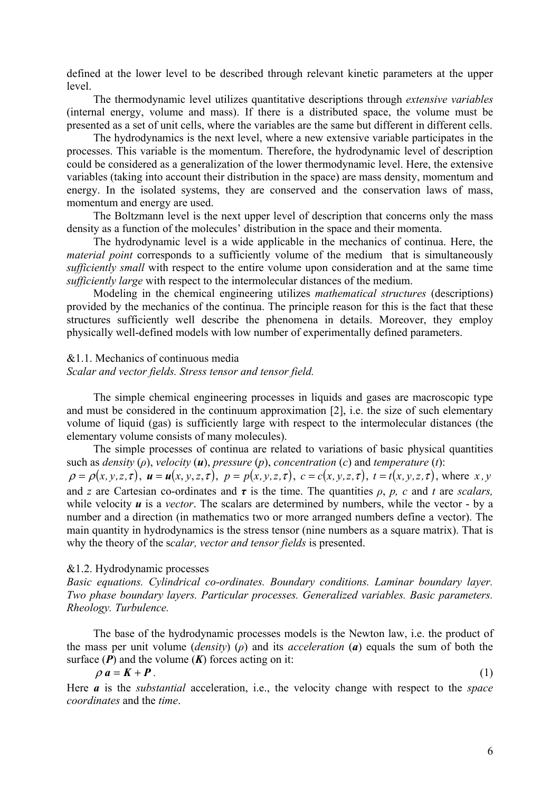defined at the lower level to be described through relevant kinetic parameters at the upper level.

The thermodynamic level utilizes quantitative descriptions through *extensive variables* (internal energy, volume and mass). If there is a distributed space, the volume must be presented as a set of unit cells, where the variables are the same but different in different cells.

The hydrodynamics is the next level, where a new extensive variable participates in the processes. This variable is the momentum. Therefore, the hydrodynamic level of description could be considered as a generalization of the lower thermodynamic level. Here, the extensive variables (taking into account their distribution in the space) are mass density, momentum and energy. In the isolated systems, they are conserved and the conservation laws of mass, momentum and energy are used.

The Boltzmann level is the next upper level of description that concerns only the mass density as a function of the molecules' distribution in the space and their momenta.

The hydrodynamic level is a wide applicable in the mechanics of continua. Here, the *material point* corresponds to a sufficiently volume of the medium that is simultaneously *sufficiently small* with respect to the entire volume upon consideration and at the same time *sufficiently large* with respect to the intermolecular distances of the medium.

Modeling in the chemical engineering utilizes *mathematical structures* (descriptions) provided by the mechanics of the continua. The principle reason for this is the fact that these structures sufficiently well describe the phenomena in details. Moreover, they employ physically well-defined models with low number of experimentally defined parameters.

### &1.1. Mechanics of continuous media

*Scalar and vector fields. Stress tensor and tensor field.* 

The simple chemical engineering processes in liquids and gases are macroscopic type and must be considered in the continuum approximation [2], i.e. the size of such elementary volume of liquid (gas) is sufficiently large with respect to the intermolecular distances (the elementary volume consists of many molecules).

The simple processes of continua are related to variations of basic physical quantities such as *density* (*ρ*), *velocity* (*u*), *pressure* (*p*), *concentration* (*c*) and *temperature* (*t*):

 $\rho = \rho(x, y, z, \tau)$ ,  $u = u(x, y, z, \tau)$ ,  $p = p(x, y, z, \tau)$ ,  $c = c(x, y, z, \tau)$ ,  $t = t(x, y, z, \tau)$ , where x, y and *z* are Cartesian co-ordinates and  $\tau$  is the time. The quantities  $\rho$ ,  $p$ ,  $c$  and  $t$  are *scalars*, while velocity  $\boldsymbol{u}$  is a *vector*. The scalars are determined by numbers, while the vector - by a number and a direction (in mathematics two or more arranged numbers define a vector). The main quantity in hydrodynamics is the stress tensor (nine numbers as a square matrix). That is why the theory of the s*calar, vector and tensor fields* is presented.

#### &1.2. Hydrodynamic processes

*Basic equations. Cylindrical co-ordinates. Boundary conditions. Laminar boundary layer. Two phase boundary layers. Particular processes. Generalized variables. Basic parameters. Rheology. Turbulence.* 

The base of the hydrodynamic processes models is the Newton law, i.e. the product of the mass per unit volume (*density*) (*ρ*) and its *acceleration* (*a*) equals the sum of both the surface  $(P)$  and the volume  $(K)$  forces acting on it:

$$
\rho \, a = K + P \tag{1}
$$

Here *a* is the *substantial* acceleration, i.e., the velocity change with respect to the *space coordinates* and the *time*.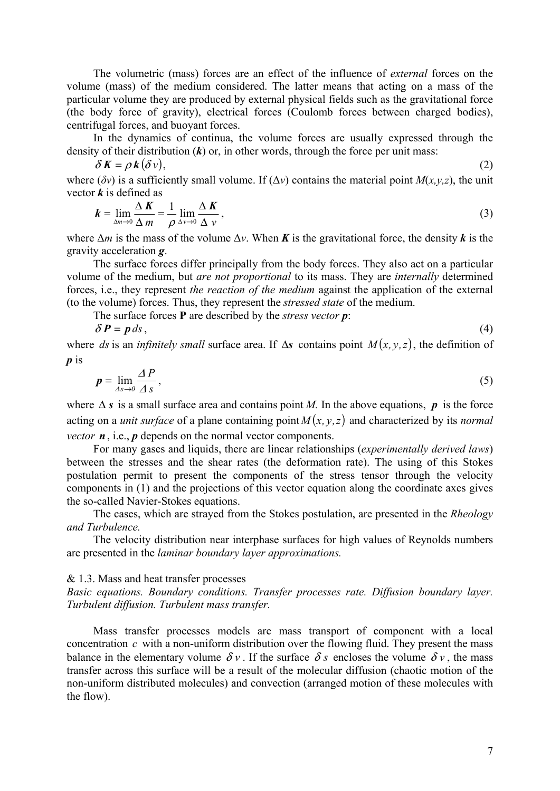The volumetric (mass) forces are an effect of the influence of *external* forces on the volume (mass) of the medium considered. The latter means that acting on a mass of the particular volume they are produced by external physical fields such as the gravitational force (the body force of gravity), electrical forces (Coulomb forces between charged bodies), centrifugal forces, and buoyant forces.

In the dynamics of continua, the volume forces are usually expressed through the density of their distribution (*k*) or, in other words, through the force per unit mass:

$$
\delta K = \rho k (\delta v), \tag{2}
$$

where ( $\delta v$ ) is a sufficiently small volume. If ( $\Delta v$ ) contains the material point  $M(x,y,z)$ , the unit vector *k* is defined as

$$
k = \lim_{\Delta m \to 0} \frac{\Delta K}{\Delta m} = \frac{1}{\rho} \lim_{\Delta \nu \to 0} \frac{\Delta K}{\Delta \nu},
$$
\n(3)

where  $\Delta m$  is the mass of the volume  $\Delta v$ . When *K* is the gravitational force, the density *k* is the gravity acceleration *g*.

The surface forces differ principally from the body forces. They also act on a particular volume of the medium, but *are not proportional* to its mass. They are *internally* determined forces, i.e., they represent *the reaction of the medium* against the application of the external (to the volume) forces. Thus, they represent the *stressed state* of the medium.

The surface forces **P** are described by the *stress vector p*:

$$
\delta P = p \, ds \,,\tag{4}
$$

where *ds* is an *infinitely small* surface area. If  $\Delta s$  contains point  $M(x, y, z)$ , the definition of *p* is

$$
p = \lim_{\Delta s \to 0} \frac{\Delta P}{\Delta s},\tag{5}
$$

where  $\Delta s$  is a small surface area and contains point *M*. In the above equations, **p** is the force acting on a *unit surface* of a plane containing point  $M(x, y, z)$  and characterized by its *normal vector n*, i.e., *p* depends on the normal vector components.

For many gases and liquids, there are linear relationships (*experimentally derived laws*) between the stresses and the shear rates (the deformation rate). The using of this Stokes postulation permit to present the components of the stress tensor through the velocity components in (1) and the projections of this vector equation along the coordinate axes gives the so-called Navier-Stokes equations.

The cases, which are strayed from the Stokes postulation, are presented in the *Rheology and Turbulence.* 

The velocity distribution near interphase surfaces for high values of Reynolds numbers are presented in the *laminar boundary layer approximations.* 

#### & 1.3. Mass and heat transfer processes

*Basic equations. Boundary conditions. Transfer processes rate. Diffusion boundary layer. Turbulent diffusion. Turbulent mass transfer.* 

Mass transfer processes models are mass transport of component with a local concentration *c* with a non-uniform distribution over the flowing fluid. They present the mass balance in the elementary volume  $\delta v$ . If the surface  $\delta s$  encloses the volume  $\delta v$ , the mass transfer across this surface will be a result of the molecular diffusion (chaotic motion of the non-uniform distributed molecules) and convection (arranged motion of these molecules with the flow).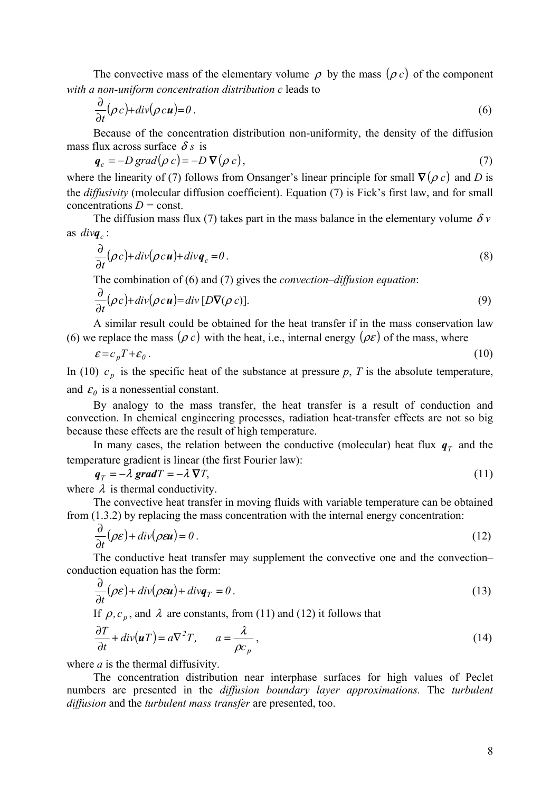The convective mass of the elementary volume  $\rho$  by the mass  $(\rho c)$  of the component *with a non-uniform concentration distribution c* leads to

$$
\frac{\partial}{\partial t}(\rho c) + \text{div}(\rho c \mathbf{u}) = 0 \tag{6}
$$

Because of the concentration distribution non-uniformity, the density of the diffusion mass flux across surface  $\delta s$  is

$$
\boldsymbol{q}_c = -D\operatorname{grad}(\rho c) = -D\,\nabla(\rho c),\tag{7}
$$

where the linearity of (7) follows from Onsanger's linear principle for small  $\nabla (\rho c)$  and *D* is the *diffusivity* (molecular diffusion coefficient). Equation (7) is Fick's first law, and for small concentrations *D =* const.

The diffusion mass flux (7) takes part in the mass balance in the elementary volume  $\delta v$ as  $div\boldsymbol{q}_c$ :

$$
\frac{\partial}{\partial t}(\rho c) + \text{div}(\rho c \mathbf{u}) + \text{div} \mathbf{q}_c = 0. \tag{8}
$$

The combination of (6) and (7) gives the *convection–diffusion equation*:

$$
\frac{\partial}{\partial t}(\rho c) + \text{div}(\rho c \mathbf{u}) = \text{div}[D \nabla(\rho c)].
$$
\n(9)

A similar result could be obtained for the heat transfer if in the mass conservation law (6) we replace the mass  $(\rho c)$  with the heat, i.e., internal energy  $(\rho \varepsilon)$  of the mass, where

$$
\varepsilon = c_p T + \varepsilon_0 \,. \tag{10}
$$

In (10)  $c_n$  is the specific heat of the substance at pressure p, T is the absolute temperature, and  $\varepsilon_0$  is a nonessential constant.

By analogy to the mass transfer, the heat transfer is a result of conduction and convection. In chemical engineering processes, radiation heat-transfer effects are not so big because these effects are the result of high temperature.

In many cases, the relation between the conductive (molecular) heat flux  $q<sub>T</sub>$  and the temperature gradient is linear (the first Fourier law):

$$
\boldsymbol{q}_T = -\lambda \operatorname{grad} T = -\lambda \nabla T,\tag{11}
$$

where  $\lambda$  is thermal conductivity.

The convective heat transfer in moving fluids with variable temperature can be obtained from (1.3.2) by replacing the mass concentration with the internal energy concentration:

$$
\frac{\partial}{\partial t}(\rho \varepsilon) + \text{div}(\rho \varepsilon \mathbf{u}) = 0 \tag{12}
$$

The conductive heat transfer may supplement the convective one and the convection– conduction equation has the form:

$$
\frac{\partial}{\partial t}(\rho \varepsilon) + \text{div}(\rho \varepsilon \mathbf{u}) + \text{div}\mathbf{q}_T = 0. \tag{13}
$$

If  $\rho$ ,  $c_p$ , and  $\lambda$  are constants, from (11) and (12) it follows that

$$
\frac{\partial T}{\partial t} + div(\boldsymbol{u}T) = a\nabla^2 T, \qquad a = \frac{\lambda}{\rho c_p},
$$
\n(14)

where *a* is the thermal diffusivity.

The concentration distribution near interphase surfaces for high values of Peclet numbers are presented in the *diffusion boundary layer approximations.* The *turbulent diffusion* and the *turbulent mass transfer* are presented, too.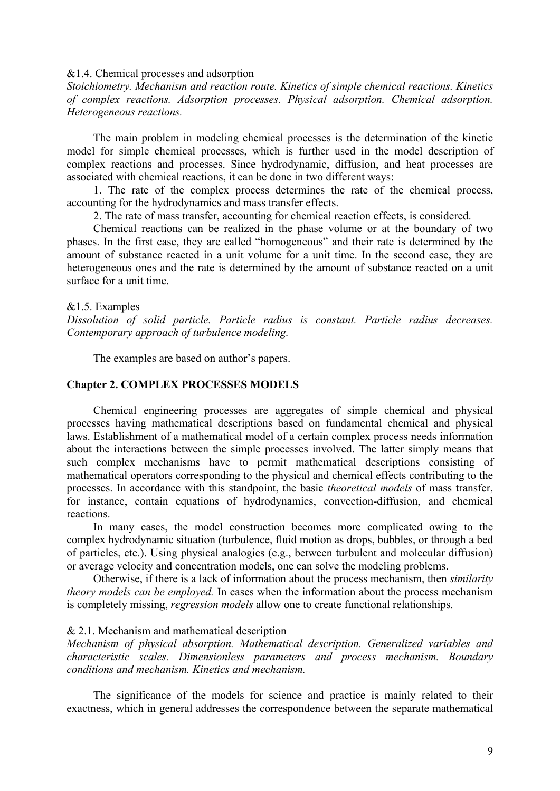### &1.4. Chemical processes and adsorption

*Stoichiometry. Mechanism and reaction route. Kinetics of simple chemical reactions. Kinetics of complex reactions. Adsorption processes. Physical adsorption. Chemical adsorption. Heterogeneous reactions.* 

The main problem in modeling chemical processes is the determination of the kinetic model for simple chemical processes, which is further used in the model description of complex reactions and processes. Since hydrodynamic, diffusion, and heat processes are associated with chemical reactions, it can be done in two different ways:

1. The rate of the complex process determines the rate of the chemical process, accounting for the hydrodynamics and mass transfer effects.

2. The rate of mass transfer, accounting for chemical reaction effects, is considered.

Chemical reactions can be realized in the phase volume or at the boundary of two phases. In the first case, they are called "homogeneous" and their rate is determined by the amount of substance reacted in a unit volume for a unit time. In the second case, they are heterogeneous ones and the rate is determined by the amount of substance reacted on a unit surface for a unit time.

### &1.5. Examples

*Dissolution of solid particle. Particle radius is constant. Particle radius decreases. Contemporary approach of turbulence modeling.* 

The examples are based on author's papers.

## **Chapter 2. COMPLEX PROCESSES MODELS**

Chemical engineering processes are aggregates of simple chemical and physical processes having mathematical descriptions based on fundamental chemical and physical laws. Establishment of a mathematical model of a certain complex process needs information about the interactions between the simple processes involved. The latter simply means that such complex mechanisms have to permit mathematical descriptions consisting of mathematical operators corresponding to the physical and chemical effects contributing to the processes. In accordance with this standpoint, the basic *theoretical models* of mass transfer, for instance, contain equations of hydrodynamics, convection-diffusion, and chemical reactions.

In many cases, the model construction becomes more complicated owing to the complex hydrodynamic situation (turbulence, fluid motion as drops, bubbles, or through a bed of particles, etc.). Using physical analogies (e.g., between turbulent and molecular diffusion) or average velocity and concentration models, one can solve the modeling problems.

Otherwise, if there is a lack of information about the process mechanism, then *similarity theory models can be employed.* In cases when the information about the process mechanism is completely missing, *regression models* allow one to create functional relationships.

### & 2.1. Mechanism and mathematical description

*Mechanism of physical absorption. Mathematical description. Generalized variables and characteristic scales. Dimensionless parameters and process mechanism. Boundary conditions and mechanism. Kinetics and mechanism.* 

The significance of the models for science and practice is mainly related to their exactness, which in general addresses the correspondence between the separate mathematical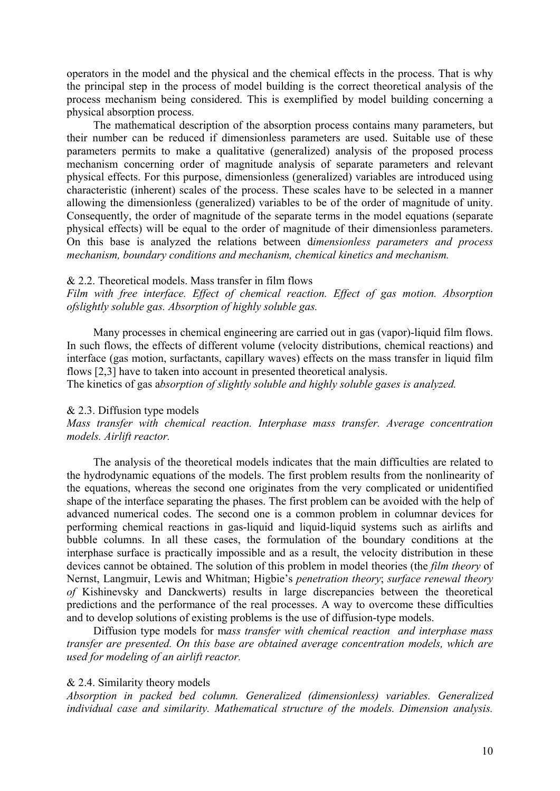operators in the model and the physical and the chemical effects in the process. That is why the principal step in the process of model building is the correct theoretical analysis of the process mechanism being considered. This is exemplified by model building concerning a physical absorption process.

The mathematical description of the absorption process contains many parameters, but their number can be reduced if dimensionless parameters are used. Suitable use of these parameters permits to make a qualitative (generalized) analysis of the proposed process mechanism concerning order of magnitude analysis of separate parameters and relevant physical effects. For this purpose, dimensionless (generalized) variables are introduced using characteristic (inherent) scales of the process. These scales have to be selected in a manner allowing the dimensionless (generalized) variables to be of the order of magnitude of unity. Consequently, the order of magnitude of the separate terms in the model equations (separate physical effects) will be equal to the order of magnitude of their dimensionless parameters. On this base is analyzed the relations between d*imensionless parameters and process mechanism, boundary conditions and mechanism, chemical kinetics and mechanism.* 

### & 2.2. Theoretical models. Mass transfer in film flows

*Film with free interface. Effect of chemical reaction. Effect of gas motion. Absorption ofslightly soluble gas. Absorption of highly soluble gas.*

Many processes in chemical engineering are carried out in gas (vapor)-liquid film flows. In such flows, the effects of different volume (velocity distributions, chemical reactions) and interface (gas motion, surfactants, capillary waves) effects on the mass transfer in liquid film flows [2,3] have to taken into account in presented theoretical analysis.

The kinetics of gas a*bsorption of slightly soluble and highly soluble gases is analyzed.*

### & 2.3. Diffusion type models

*Mass transfer with chemical reaction. Interphase mass transfer. Average concentration models. Airlift reactor.* 

The analysis of the theoretical models indicates that the main difficulties are related to the hydrodynamic equations of the models. The first problem results from the nonlinearity of the equations, whereas the second one originates from the very complicated or unidentified shape of the interface separating the phases. The first problem can be avoided with the help of advanced numerical codes. The second one is a common problem in columnar devices for performing chemical reactions in gas-liquid and liquid-liquid systems such as airlifts and bubble columns. In all these cases, the formulation of the boundary conditions at the interphase surface is practically impossible and as a result, the velocity distribution in these devices cannot be obtained. The solution of this problem in model theories (the *film theory* of Nernst, Langmuir, Lewis and Whitman; Higbie's *penetration theory*; *surface renewal theory of* Kishinevsky and Danckwerts) results in large discrepancies between the theoretical predictions and the performance of the real processes. A way to overcome these difficulties and to develop solutions of existing problems is the use of diffusion-type models.

Diffusion type models for m*ass transfer with chemical reaction and interphase mass transfer are presented. On this base are obtained average concentration models, which are used for modeling of an airlift reactor.* 

### & 2.4. Similarity theory models

*Absorption in packed bed column. Generalized (dimensionless) variables. Generalized individual case and similarity. Mathematical structure of the models. Dimension analysis.*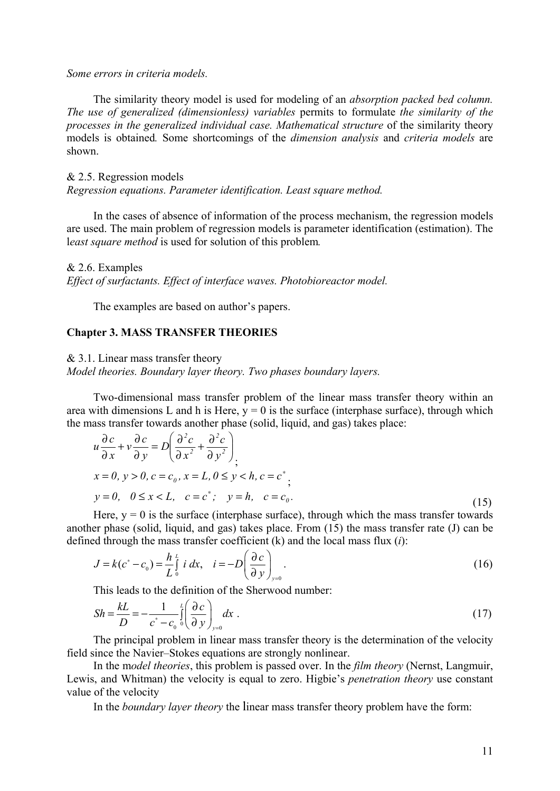#### *Some errors in criteria models.*

The similarity theory model is used for modeling of an *absorption packed bed column. The use of generalized (dimensionless) variables* permits to formulate *the similarity of the processes in the generalized individual case. Mathematical structure* of the similarity theory models is obtained*.* Some shortcomings of the *dimension analysis* and *criteria models* are shown.

### & 2.5. Regression models

*Regression equations. Parameter identification. Least square method.* 

In the cases of absence of information of the process mechanism, the regression models are used. The main problem of regression models is parameter identification (estimation). The l*east square method* is used for solution of this problem*.*

## & 2.6. Examples

*Effect of surfactants. Effect of interface waves. Photobioreactor model.* 

The examples are based on author's papers.

### **Chapter 3. MASS TRANSFER THEORIES**

& 3.1. Linear mass transfer theory

*Model theories. Boundary layer theory. Two phases boundary layers.* 

Two-dimensional mass transfer problem of the linear mass transfer theory within an area with dimensions L and h is Here,  $y = 0$  is the surface (interphase surface), through which the mass transfer towards another phase (solid, liquid, and gas) takes place:

$$
u\frac{\partial c}{\partial x} + v\frac{\partial c}{\partial y} = D\left(\frac{\partial^2 c}{\partial x^2} + \frac{\partial^2 c}{\partial y^2}\right),
$$
  
\n
$$
x = 0, y > 0, c = c_0, x = L, 0 \le y < h, c = c^*,
$$
  
\n
$$
y = 0, \quad 0 \le x < L, \quad c = c^*, \quad y = h, \quad c = c_0.
$$
\n(15)

Here,  $y = 0$  is the surface (interphase surface), through which the mass transfer towards another phase (solid, liquid, and gas) takes place. From (15) the mass transfer rate (J) can be defined through the mass transfer coefficient (k) and the local mass flux (*i*):

$$
J = k(c^* - c_0) = \frac{h}{L} \int_0^L i \, dx, \quad i = -D \left( \frac{\partial c}{\partial y} \right)_{y=0}.
$$
 (16)

This leads to the definition of the Sherwood number:

$$
Sh = \frac{kL}{D} = -\frac{1}{c^* - c_0} \int_0^L \left(\frac{\partial c}{\partial y}\right)_{y=0} dx
$$
 (17)

The principal problem in linear mass transfer theory is the determination of the velocity field since the Navier–Stokes equations are strongly nonlinear.

In the m*odel theories*, this problem is passed over. In the *film theory* (Nernst, Langmuir, Lewis, and Whitman) the velocity is equal to zero. Higbie's *penetration theory* use constant value of the velocity

In the *boundary layer theory* the linear mass transfer theory problem have the form: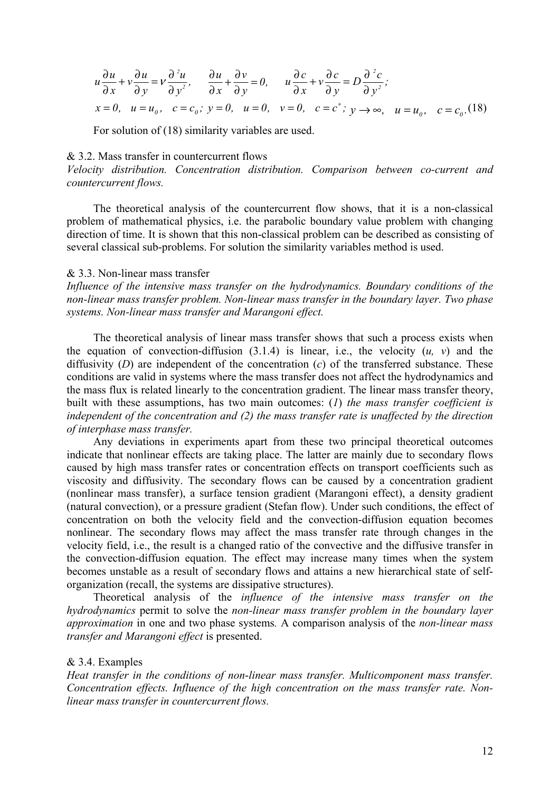$$
u\frac{\partial u}{\partial x} + v\frac{\partial u}{\partial y} = v\frac{\partial^2 u}{\partial y^2}, \quad \frac{\partial u}{\partial x} + \frac{\partial v}{\partial y} = 0, \quad u\frac{\partial c}{\partial x} + v\frac{\partial c}{\partial y} = D\frac{\partial^2 c}{\partial y^2};
$$
  
\n
$$
x = 0, \quad u = u_0, \quad c = c_0; \quad y = 0, \quad u = 0, \quad v = 0, \quad c = c^*; \quad y \to \infty, \quad u = u_0, \quad c = c_0. (18)
$$

For solution of (18) similarity variables are used.

#### $& 3.2$  Mass transfer in countercurrent flows

*Velocity distribution. Concentration distribution. Comparison between co-current and countercurrent flows.* 

The theoretical analysis of the countercurrent flow shows, that it is a non-classical problem of mathematical physics, i.e. the parabolic boundary value problem with changing direction of time. It is shown that this non-classical problem can be described as consisting of several classical sub-problems. For solution the similarity variables method is used.

### & 3.3. Non-linear mass transfer

*Influence of the intensive mass transfer on the hydrodynamics. Boundary conditions of the non-linear mass transfer problem. Non-linear mass transfer in the boundary layer. Two phase systems. Non-linear mass transfer and Marangoni effect.* 

The theoretical analysis of linear mass transfer shows that such a process exists when the equation of convection-diffusion  $(3.1.4)$  is linear, i.e., the velocity  $(u, v)$  and the diffusivity (*D*) are independent of the concentration (*c*) of the transferred substance. These conditions are valid in systems where the mass transfer does not affect the hydrodynamics and the mass flux is related linearly to the concentration gradient. The linear mass transfer theory, built with these assumptions, has two main outcomes: (*1*) *the mass transfer coefficient is independent of the concentration and (2) the mass transfer rate is unaffected by the direction of interphase mass transfer.*

Any deviations in experiments apart from these two principal theoretical outcomes indicate that nonlinear effects are taking place. The latter are mainly due to secondary flows caused by high mass transfer rates or concentration effects on transport coefficients such as viscosity and diffusivity. The secondary flows can be caused by a concentration gradient (nonlinear mass transfer), a surface tension gradient (Marangoni effect), a density gradient (natural convection), or a pressure gradient (Stefan flow). Under such conditions, the effect of concentration on both the velocity field and the convection-diffusion equation becomes nonlinear. The secondary flows may affect the mass transfer rate through changes in the velocity field, i.e., the result is a changed ratio of the convective and the diffusive transfer in the convection-diffusion equation. The effect may increase many times when the system becomes unstable as a result of secondary flows and attains a new hierarchical state of selforganization (recall, the systems are dissipative structures).

Theoretical analysis of the *influence of the intensive mass transfer on the hydrodynamics* permit to solve the *non-linear mass transfer problem in the boundary layer approximation* in one and two phase systems*.* A comparison analysis of the *non-linear mass transfer and Marangoni effect* is presented.

### & 3.4. Examples

*Heat transfer in the conditions of non*-*linear mass transfer. Multicomponent mass transfer. Concentration effects. Influence of the high concentration on the mass transfer rate. Nonlinear mass transfer in countercurrent flows.*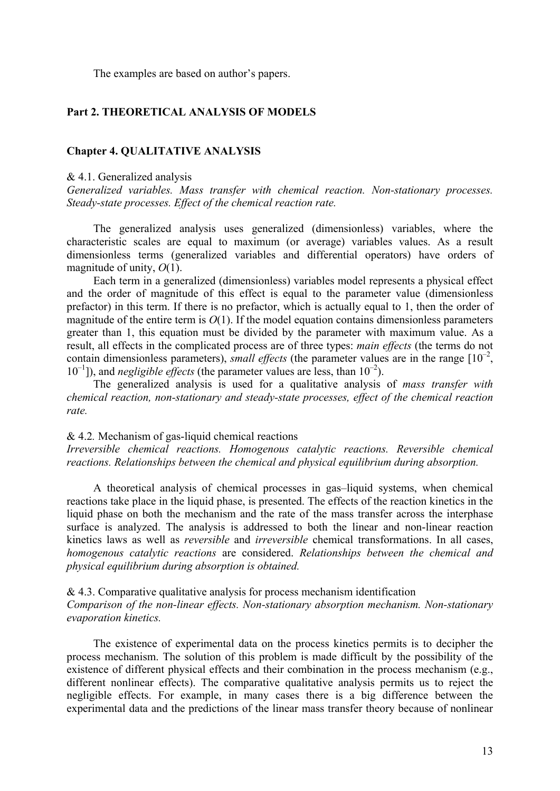The examples are based on author's papers.

# **Part 2. THEORETICAL ANALYSIS OF MODELS**

## **Chapter 4. QUALITATIVE ANALYSIS**

### & 4.1. Generalized analysis

*Generalized variables. Mass transfer with chemical reaction. Non-stationary processes. Steady-state processes. Effect of the chemical reaction rate.* 

The generalized analysis uses generalized (dimensionless) variables, where the characteristic scales are equal to maximum (or average) variables values. As a result dimensionless terms (generalized variables and differential operators) have orders of magnitude of unity, *O*(1).

Each term in a generalized (dimensionless) variables model represents a physical effect and the order of magnitude of this effect is equal to the parameter value (dimensionless prefactor) in this term. If there is no prefactor, which is actually equal to 1, then the order of magnitude of the entire term is  $O(1)$ . If the model equation contains dimensionless parameters greater than 1, this equation must be divided by the parameter with maximum value. As a result, all effects in the complicated process are of three types: *main effects* (the terms do not contain dimensionless parameters), *small effects* (the parameter values are in the range  $[10^{-2}]$ ,  $10^{-1}$ ]), and *negligible effects* (the parameter values are less, than  $10^{-2}$ ).

The generalized analysis is used for a qualitative analysis of *mass transfer with chemical reaction, non-stationary and steady-state processes, effect of the chemical reaction rate.* 

# & 4.2*.* Mechanism of gas-liquid chemical reactions

*Irreversible chemical reactions. Homogenous catalytic reactions. Reversible chemical reactions. Relationships between the chemical and physical equilibrium during absorption.* 

A theoretical analysis of chemical processes in gas–liquid systems, when chemical reactions take place in the liquid phase, is presented. The effects of the reaction kinetics in the liquid phase on both the mechanism and the rate of the mass transfer across the interphase surface is analyzed. The analysis is addressed to both the linear and non-linear reaction kinetics laws as well as *reversible* and *irreversible* chemical transformations. In all cases, *homogenous catalytic reactions* are considered. *Relationships between the chemical and physical equilibrium during absorption is obtained.* 

& 4.3. Comparative qualitative analysis for process mechanism identification *Comparison of the non-linear effects. Non-stationary absorption mechanism. Non-stationary evaporation kinetics.* 

The existence of experimental data on the process kinetics permits is to decipher the process mechanism. The solution of this problem is made difficult by the possibility of the existence of different physical effects and their combination in the process mechanism (e.g., different nonlinear effects). The comparative qualitative analysis permits us to reject the negligible effects. For example, in many cases there is a big difference between the experimental data and the predictions of the linear mass transfer theory because of nonlinear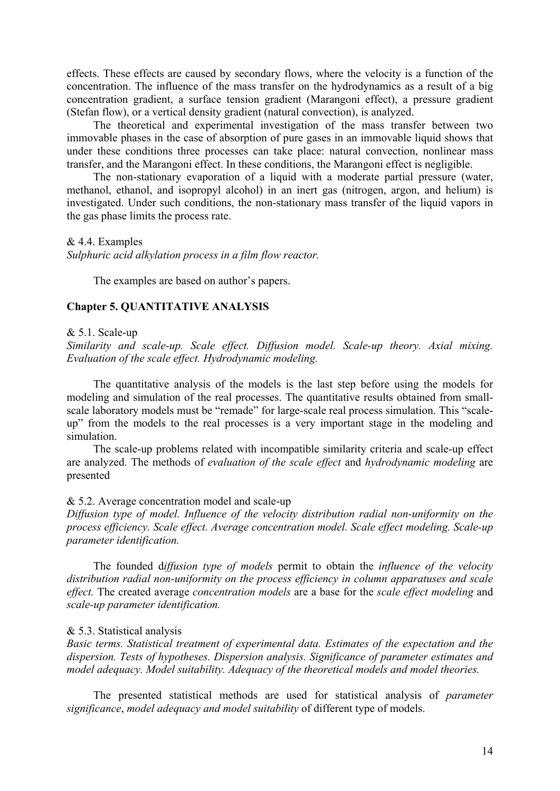effects. These effects are caused by secondary flows, where the velocity is a function of the concentration. The influence of the mass transfer on the hydrodynamics as a result of a big concentration gradient, a surface tension gradient (Marangoni effect), a pressure gradient (Stefan flow), or a vertical density gradient (natural convection), is analyzed.

The theoretical and experimental investigation of the mass transfer between two immovable phases in the case of absorption of pure gases in an immovable liquid shows that under these conditions three processes can take place: natural convection, nonlinear mass transfer, and the Marangoni effect. In these conditions, the Marangoni effect is negligible.

The non-stationary evaporation of a liquid with a moderate partial pressure (water, methanol, ethanol, and isopropyl alcohol) in an inert gas (nitrogen, argon, and helium) is investigated. Under such conditions, the non-stationary mass transfer of the liquid vapors in the gas phase limits the process rate.

### & 4.4. Examples

*Sulphuric acid alkylation process in a film flow reactor.* 

The examples are based on author's papers.

# **Chapter 5. QUANTITATIVE ANALYSIS**

#### & 5.1. Scale-up

*Similarity and scale-up. Scale effect. Diffusion model. Scale-up theory. Axial mixing. Evaluation of the scale effect. Hydrodynamic modeling.* 

The quantitative analysis of the models is the last step before using the models for modeling and simulation of the real processes. The quantitative results obtained from smallscale laboratory models must be "remade" for large-scale real process simulation. This "scaleup" from the models to the real processes is a very important stage in the modeling and simulation.

The scale-up problems related with incompatible similarity criteria and scale-up effect are analyzed. The methods of *evaluation of the scale effect* and *hydrodynamic modeling* are presented

### & 5.2. Average concentration model and scale-up

*Diffusion type of model. Influence of the velocity distribution radial non-uniformity on the process efficiency. Scale effect. Average concentration model. Scale effect modeling. Scale-up parameter identification.* 

The founded d*iffusion type of models* permit to obtain the *influence of the velocity distribution radial non-uniformity on the process efficiency in column apparatuses and scale effect.* The created average *concentration models* are a base for the *scale effect modeling* and *scale-up parameter identification.* 

### & 5.3. Statistical analysis

*Basic terms. Statistical treatment of experimental data. Estimates of the expectation and the dispersion. Tests of hypotheses. Dispersion analysis. Significance of parameter estimates and model adequacy. Model suitability. Adequacy of the theoretical models and model theories.* 

The presented statistical methods are used for statistical analysis of *parameter significance*, *model adequacy and model suitability* of different type of models.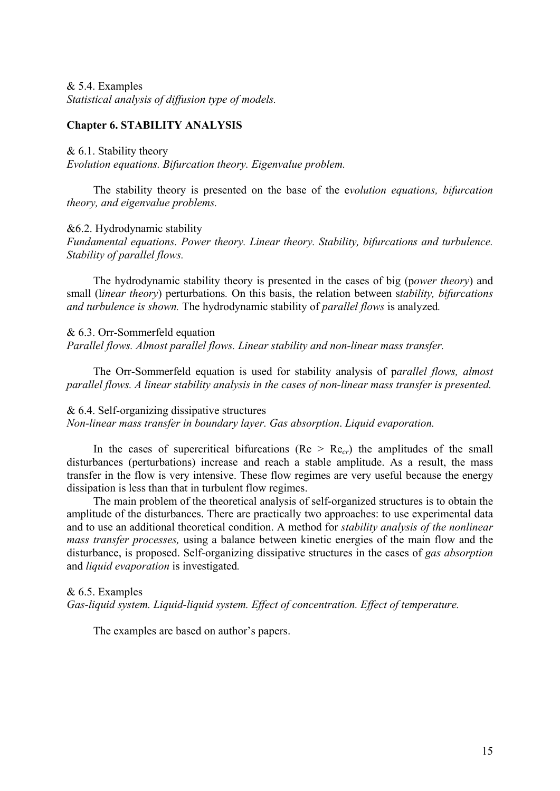& 5.4. Examples *Statistical analysis of diffusion type of models.* 

# **Chapter 6. STABILITY ANALYSIS**

& 6.1. Stability theory

*Evolution equations. Bifurcation theory. Eigenvalue problem.* 

The stability theory is presented on the base of the e*volution equations, bifurcation theory, and eigenvalue problems.* 

&6.2. Hydrodynamic stability

*Fundamental equations. Power theory. Linear theory. Stability, bifurcations and turbulence. Stability of parallel flows.* 

The hydrodynamic stability theory is presented in the cases of big (p*ower theory*) and small (l*inear theory*) perturbations*.* On this basis, the relation between s*tability, bifurcations and turbulence is shown.* The hydrodynamic stability of *parallel flows* is analyzed*.* 

& 6.3. Orr-Sommerfeld equation *Parallel flows. Almost parallel flows. Linear stability and non-linear mass transfer.* 

The Orr-Sommerfeld equation is used for stability analysis of p*arallel flows, almost parallel flows. A linear stability analysis in the cases of non-linear mass transfer is presented.* 

### & 6.4. Self-organizing dissipative structures

*Non-linear mass transfer in boundary layer. Gas absorption*. *Liquid evaporation.* 

In the cases of supercritical bifurcations ( $Re > Re<sub>cr</sub>$ ) the amplitudes of the small disturbances (perturbations) increase and reach a stable amplitude. As a result, the mass transfer in the flow is very intensive. These flow regimes are very useful because the energy dissipation is less than that in turbulent flow regimes.

The main problem of the theoretical analysis of self-organized structures is to obtain the amplitude of the disturbances. There are practically two approaches: to use experimental data and to use an additional theoretical condition. A method for *stability analysis of the nonlinear mass transfer processes,* using a balance between kinetic energies of the main flow and the disturbance, is proposed. Self-organizing dissipative structures in the cases of *gas absorption*  and *liquid evaporation* is investigated*.* 

& 6.5. Examples

*Gas-liquid system. Liquid-liquid system. Effect of concentration. Effect of temperature.* 

The examples are based on author's papers.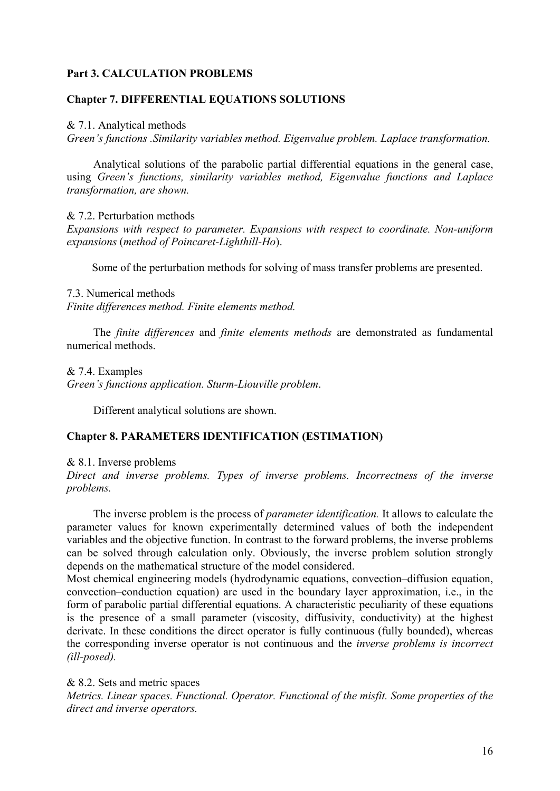# **Part 3. CALCULATION PROBLEMS**

# **Chapter 7. DIFFERENTIAL EQUATIONS SOLUTIONS**

& 7.1. Analytical methods

*Green's functions .Similarity variables method. Eigenvalue problem. Laplace transformation.* 

Analytical solutions of the parabolic partial differential equations in the general case, using *Green's functions, similarity variables method, Eigenvalue functions and Laplace transformation, are shown.* 

& 7.2. Perturbation methods

*Expansions with respect to parameter. Expansions with respect to coordinate. Non-uniform expansions* (*method of Poincaret-Lighthill-Ho*).

Some of the perturbation methods for solving of mass transfer problems are presented.

## 7.3. Numerical methods

*Finite differences method. Finite elements method.* 

The *finite differences* and *finite elements methods* are demonstrated as fundamental numerical methods.

& 7.4. Examples

*Green's functions application. Sturm-Liouville problem*.

Different analytical solutions are shown.

# **Chapter 8. PARAMETERS IDENTIFICATION (ESTIMATION)**

& 8.1. Inverse problems

*Direct and inverse problems. Types of inverse problems. Incorrectness of the inverse problems.* 

The inverse problem is the process of *parameter identification.* It allows to calculate the parameter values for known experimentally determined values of both the independent variables and the objective function. In contrast to the forward problems, the inverse problems can be solved through calculation only. Obviously, the inverse problem solution strongly depends on the mathematical structure of the model considered.

Most chemical engineering models (hydrodynamic equations, convection–diffusion equation, convection–conduction equation) are used in the boundary layer approximation, i.e., in the form of parabolic partial differential equations. A characteristic peculiarity of these equations is the presence of a small parameter (viscosity, diffusivity, conductivity) at the highest derivate. In these conditions the direct operator is fully continuous (fully bounded), whereas the corresponding inverse operator is not continuous and the *inverse problems is incorrect (ill-posed).* 

& 8.2. Sets and metric spaces

*Metrics. Linear spaces. Functional. Operator. Functional of the misfit. Some properties of the direct and inverse operators.*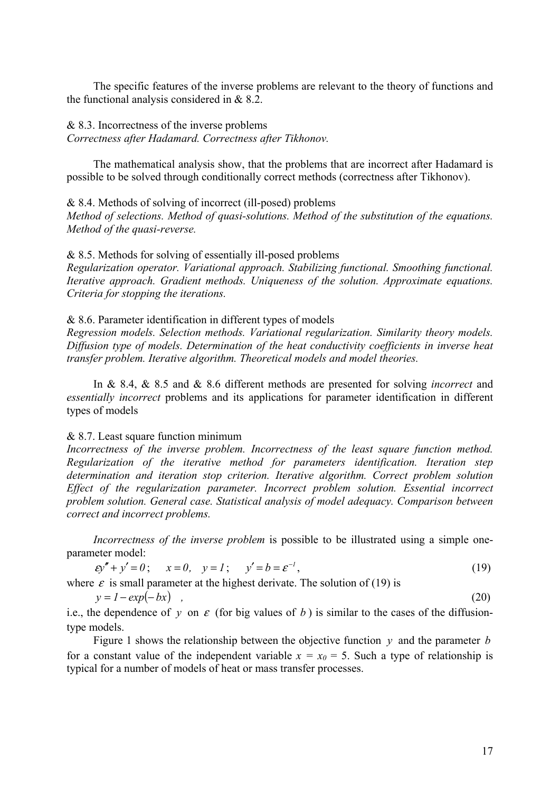The specific features of the inverse problems are relevant to the theory of functions and the functional analysis considered in & 8.2.

# & 8.3. Incorrectness of the inverse problems

*Correctness after Hadamard. Correctness after Tikhonov.* 

The mathematical analysis show, that the problems that are incorrect after Hadamard is possible to be solved through conditionally correct methods (correctness after Tikhonov).

& 8.4. Methods of solving of incorrect (ill-posed) problems

*Method of selections. Method of quasi-solutions. Method of the substitution of the equations. Method of the quasi-reverse.* 

# & 8.5. Methods for solving of essentially ill-posed problems

*Regularization operator. Variational approach. Stabilizing functional. Smoothing functional. Iterative approach. Gradient methods. Uniqueness of the solution. Approximate equations. Criteria for stopping the iterations.* 

## & 8.6. Parameter identification in different types of models

*Regression models. Selection methods. Variational regularization. Similarity theory models. Diffusion type of models. Determination of the heat conductivity coefficients in inverse heat transfer problem. Iterative algorithm. Theoretical models and model theories.* 

In & 8.4, & 8.5 and & 8.6 different methods are presented for solving *incorrect* and *essentially incorrect* problems and its applications for parameter identification in different types of models

# & 8.7. Least square function minimum

*Incorrectness of the inverse problem. Incorrectness of the least square function method. Regularization of the iterative method for parameters identification. Iteration step determination and iteration stop criterion. Iterative algorithm. Correct problem solution Effect of the regularization parameter. Incorrect problem solution. Essential incorrect problem solution. General case. Statistical analysis of model adequacy. Comparison between correct and incorrect problems.* 

*Incorrectness of the inverse problem* is possible to be illustrated using a simple oneparameter model:

$$
\varepsilon y'' + y' = 0; \qquad x = 0, \qquad y = 1; \qquad y' = b = \varepsilon^{-1}, \tag{19}
$$

where  $\varepsilon$  is small parameter at the highest derivate. The solution of (19) is

 $y = 1 - exp(-bx)$  , (20)

i.e., the dependence of *y* on  $\varepsilon$  (for big values of *b*) is similar to the cases of the diffusiontype models.

Figure 1 shows the relationship between the objective function *y* and the parameter *b* for a constant value of the independent variable  $x = x_0 = 5$ . Such a type of relationship is typical for a number of models of heat or mass transfer processes.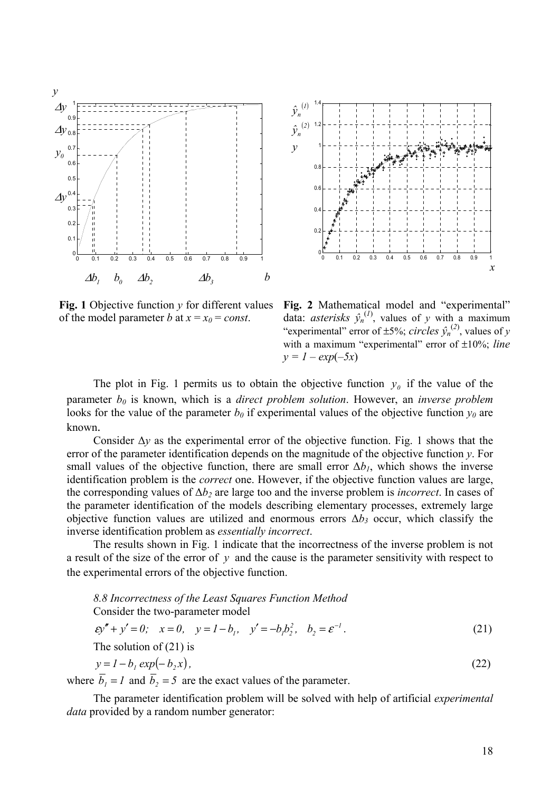



**Fig. 1** Objective function  $v$  for different values of the model parameter *b* at  $x = x_0 = const.$ 

**Fig. 2** Mathematical model and "experimental" data: *asterisks*  $\hat{y}_n^{(1)}$ , values of *y* with a maximum "experimental" error of  $\pm$ 5%; *circles*  $\hat{y}_n^{(2)}$ , values of *y* with a maximum "experimental" error of ±10%; *line*  $y = 1 - exp(-5x)$ 

The plot in Fig. 1 permits us to obtain the objective function  $y_0$  if the value of the parameter *b0* is known, which is a *direct problem solution*. However, an *inverse problem*  looks for the value of the parameter  $b_0$  if experimental values of the objective function  $y_0$  are known.

Consider  $\Delta y$  as the experimental error of the objective function. Fig. 1 shows that the error of the parameter identification depends on the magnitude of the objective function *y*. For small values of the objective function, there are small error  $\Delta b<sub>1</sub>$ , which shows the inverse identification problem is the *correct* one. However, if the objective function values are large, the corresponding values of  $\Delta b_2$  are large too and the inverse problem is *incorrect*. In cases of the parameter identification of the models describing elementary processes, extremely large objective function values are utilized and enormous errors  $\Delta b_3$  occur, which classify the inverse identification problem as *essentially incorrect*.

The results shown in Fig. 1 indicate that the incorrectness of the inverse problem is not a result of the size of the error of *y* and the cause is the parameter sensitivity with respect to the experimental errors of the objective function.

*8.8 Incorrectness of the Least Squares Function Method* Consider the two-parameter model *1 2*  $2(1)$ <br> *z y* = *0,*  $y = 1 - b_1$ ,  $y' = -b_1 b_2^2$ ,  $b_2 = \varepsilon^{-1}$ . The solution of (21) is

 $y = 1 - b$ ,  $exp(-b, x)$ , (22)

where  $\overline{b}_1 = 1$  and  $\overline{b}_2 = 5$  are the exact values of the parameter.

The parameter identification problem will be solved with help of artificial *experimental data* provided by a random number generator: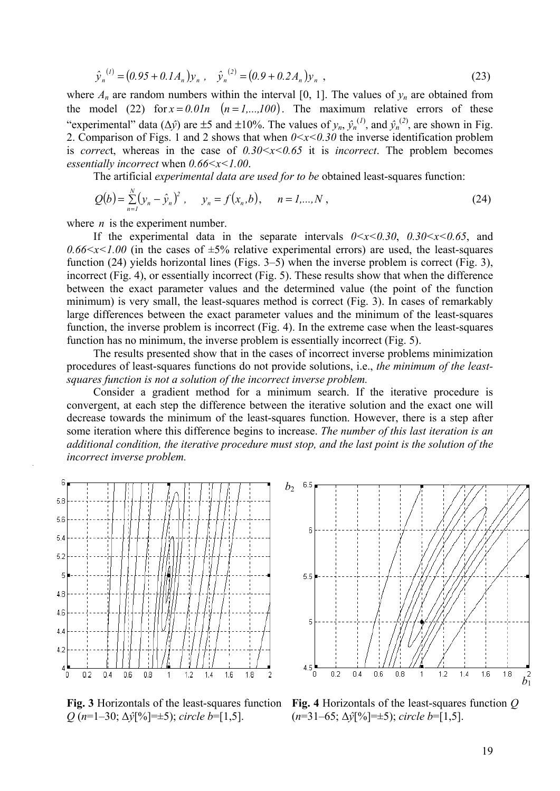$$
\hat{y}_n^{(l)} = (0.95 + 0.1A_n)y_n, \quad \hat{y}_n^{(2)} = (0.9 + 0.2A_n)y_n,
$$
\n(23)

where  $A_n$  are random numbers within the interval [0, 1]. The values of  $y_n$  are obtained from the model (22) for  $x = 0.01n$  ( $n = 1,...,100$ ). The maximum relative errors of these "experimental" data ( $\Delta \hat{y}$ ) are  $\pm 5$  and  $\pm 10\%$ . The values of  $y_n$ ,  $\hat{y}_n^{(1)}$ , and  $\hat{y}_n^{(2)}$ , are shown in Fig. 2. Comparison of Figs. 1 and 2 shows that when  $0 \le x \le 0.30$  the inverse identification problem is *correct*, whereas in the case of  $0.30 \le x \le 0.65$  it is *incorrect*. The problem becomes *essentially incorrect* when *0.66<x<1.00*.

The artificial *experimental data are used for to be* obtained least-squares function:

$$
Q(b) = \sum_{n=1}^{N} (y_n - \hat{y}_n)^2, \quad y_n = f(x_n, b), \quad n = 1,...,N,
$$
 (24)

where *n* is the experiment number.

If the experimental data in the separate intervals  $0 \le x \le 0.30$ ,  $0.30 \le x \le 0.65$ , and  $0.66 \le x \le 1.00$  (in the cases of  $\pm 5\%$  relative experimental errors) are used, the least-squares function (24) yields horizontal lines (Figs. 3–5) when the inverse problem is correct (Fig. 3), incorrect (Fig. 4), or essentially incorrect (Fig. 5). These results show that when the difference between the exact parameter values and the determined value (the point of the function minimum) is very small, the least-squares method is correct (Fig. 3). In cases of remarkably large differences between the exact parameter values and the minimum of the least-squares function, the inverse problem is incorrect (Fig. 4). In the extreme case when the least-squares function has no minimum, the inverse problem is essentially incorrect (Fig. 5).

The results presented show that in the cases of incorrect inverse problems minimization procedures of least-squares functions do not provide solutions, i.e., *the minimum of the leastsquares function is not a solution of the incorrect inverse problem.* 

Consider a gradient method for a minimum search. If the iterative procedure is convergent, at each step the difference between the iterative solution and the exact one will decrease towards the minimum of the least-squares function. However, there is a step after some iteration where this difference begins to increase. *The number of this last iteration is an additional condition, the iterative procedure must stop, and the last point is the solution of the incorrect inverse problem.* 



**Fig. 3** Horizontals of the least-squares function *Q* (*n*=1–30; Δ*ŷ*[%]=±5); *circle b*=[1,5].



**Fig. 4** Horizontals of the least-squares function *Q* (*n*=31–65; Δ*ŷ*[%]=±5); *circle b*=[1,5].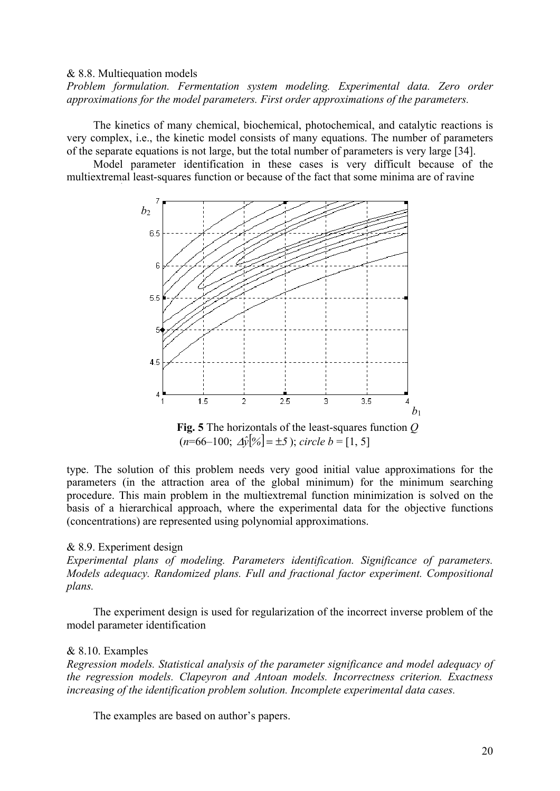### & 8.8. Multiequation models

*Problem formulation. Fermentation system modeling. Experimental data. Zero order approximations for the model parameters. First order approximations of the parameters.* 

The kinetics of many chemical, biochemical, photochemical, and catalytic reactions is very complex, i.e., the kinetic model consists of many equations. The number of parameters of the separate equations is not large, but the total number of parameters is very large [34].

Model parameter identification in these cases is very difficult because of the multiextremal least-squares function or because of the fact that some minima are of ravine



 **Fig. 5** The horizontals of the least-squares function *Q*  $(n=66-100; \Delta \hat{y}[%]) = \pm 5$ ; *circle*  $b = [1, 5]$ 

type. The solution of this problem needs very good initial value approximations for the parameters (in the attraction area of the global minimum) for the minimum searching procedure. This main problem in the multiextremal function minimization is solved on the basis of a hierarchical approach, where the experimental data for the objective functions (concentrations) are represented using polynomial approximations.

### & 8.9. Experiment design

*Experimental plans of modeling. Parameters identification. Significance of parameters. Models adequacy. Randomized plans. Full and fractional factor experiment. Compositional plans.* 

The experiment design is used for regularization of the incorrect inverse problem of the model parameter identification

#### & 8.10. Examples

*Regression models. Statistical analysis of the parameter significance and model adequacy of the regression models. Clapeyron and Antoan models. Incorrectness criterion. Exactness increasing of the identification problem solution. Incomplete experimental data cases.* 

The examples are based on author's papers.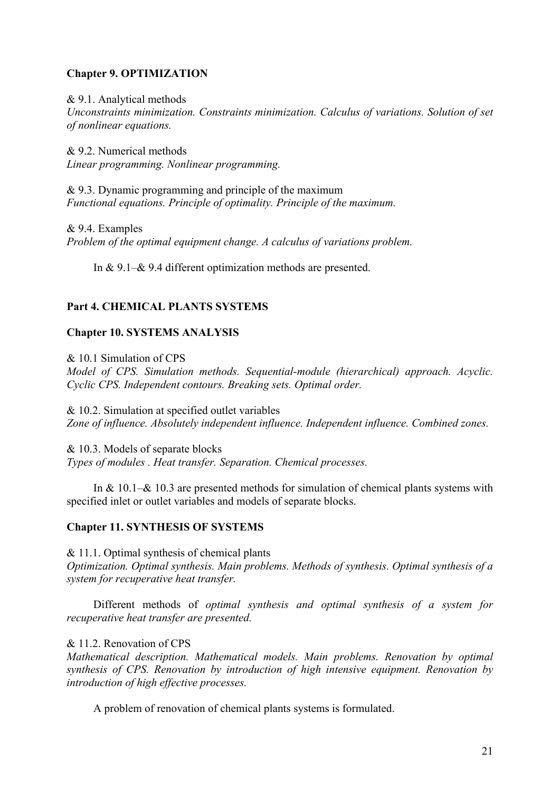# **Chapter 9. OPTIMIZATION**

# & 9.1. Analytical methods

*Unconstraints minimization. Constraints minimization. Calculus of variations. Solution of set of nonlinear equations.* 

& 9.2. Numerical methods *Linear programming. Nonlinear programming.* 

& 9.3. Dynamic programming and principle of the maximum *Functional equations. Principle of optimality. Principle of the maximum.* 

& 9.4. Examples *Problem of the optimal equipment change. A calculus of variations problem.* 

In & 9.1–& 9.4 different optimization methods are presented.

# **Part 4. CHEMICAL PLANTS SYSTEMS**

# **Chapter 10. SYSTEMS ANALYSIS**

& 10.1 Simulation of CPS *Model of CPS. Simulation methods. Sequential-module (hierarchical) approach. Acyclic. Cyclic CPS. Independent contours. Breaking sets. Optimal order.* 

& 10.2. Simulation at specified outlet variables *Zone of influence. Absolutely independent influence. Independent influence. Combined zones.* 

& 10.3. Models of separate blocks *Types of modules . Heat transfer. Separation. Chemical processes.* 

In & 10.1–& 10.3 are presented methods for simulation of chemical plants systems with specified inlet or outlet variables and models of separate blocks.

# **Chapter 11. SYNTHESIS OF SYSTEMS**

 $& 11.1.$  Optimal synthesis of chemical plants *Optimization. Optimal synthesis. Main problems. Methods of synthesis. Optimal synthesis of a system for recuperative heat transfer.* 

Different methods of *optimal synthesis and optimal synthesis of a system for recuperative heat transfer are presented.* 

# & 11.2. Renovation of CPS

*Mathematical description. Mathematical models. Main problems. Renovation by optimal synthesis of CPS. Renovation by introduction of high intensive equipment. Renovation by introduction of high effective processes.* 

A problem of renovation of chemical plants systems is formulated.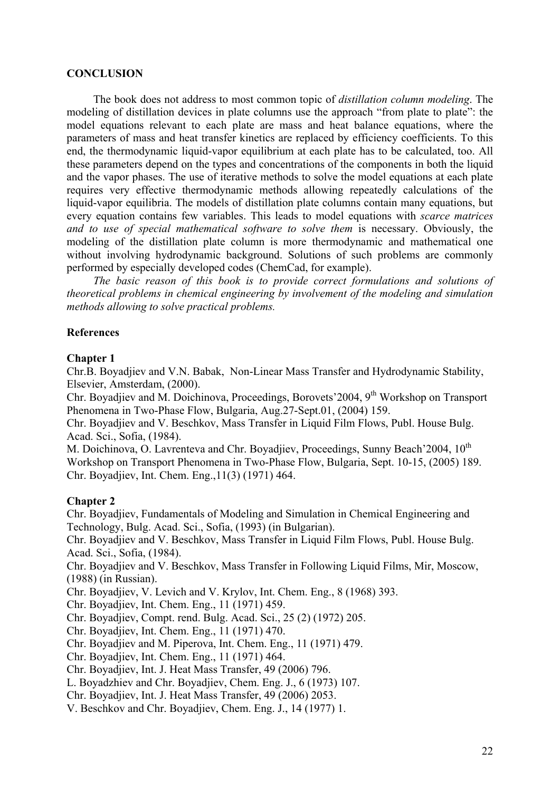# **CONCLUSION**

The book does not address to most common topic of *distillation column modeling*. The modeling of distillation devices in plate columns use the approach "from plate to plate": the model equations relevant to each plate are mass and heat balance equations, where the parameters of mass and heat transfer kinetics are replaced by efficiency coefficients. To this end, the thermodynamic liquid-vapor equilibrium at each plate has to be calculated, too. All these parameters depend on the types and concentrations of the components in both the liquid and the vapor phases. The use of iterative methods to solve the model equations at each plate requires very effective thermodynamic methods allowing repeatedly calculations of the liquid-vapor equilibria. The models of distillation plate columns contain many equations, but every equation contains few variables. This leads to model equations with *scarce matrices and to use of special mathematical software to solve them* is necessary. Obviously, the modeling of the distillation plate column is more thermodynamic and mathematical one without involving hydrodynamic background. Solutions of such problems are commonly performed by especially developed codes (ChemCad, for example).

*The basic reason of this book is to provide correct formulations and solutions of theoretical problems in chemical engineering by involvement of the modeling and simulation methods allowing to solve practical problems.* 

# **References**

# **Chapter 1**

Chr.B. Boyadjiev and V.N. Babak, Non-Linear Mass Transfer and Hydrodynamic Stability, Elsevier, Amsterdam, (2000).

Chr. Boyadiiev and M. Doichinova, Proceedings, Borovets' 2004, 9<sup>th</sup> Workshop on Transport Phenomena in Two-Phase Flow, Bulgaria, Aug.27-Sept.01, (2004) 159.

Chr. Boyadjiev and V. Beschkov, Mass Transfer in Liquid Film Flows, Publ. House Bulg. Acad. Sci., Sofia, (1984).

M. Doichinova, O. Lavrenteva and Chr. Boyadiiev, Proceedings, Sunny Beach'2004, 10<sup>th</sup> Workshop on Transport Phenomena in Two-Phase Flow, Bulgaria, Sept. 10-15, (2005) 189. Chr. Boyadjiev, Int. Chem. Eng.,11(3) (1971) 464.

# **Chapter 2**

Chr. Boyadjiev, Fundamentals of Modeling and Simulation in Chemical Engineering and Technology, Bulg. Acad. Sci., Sofia, (1993) (in Bulgarian). Chr. Boyadjiev and V. Beschkov, Mass Transfer in Liquid Film Flows, Publ. House Bulg.

Acad. Sci., Sofia, (1984).

Chr. Boyadjiev and V. Beschkov, Mass Transfer in Following Liquid Films, Mir, Moscow, (1988) (in Russian).

Chr. Boyadjiev, V. Levich and V. Krylov, Int. Chem. Eng., 8 (1968) 393.

Chr. Boyadjiev, Int. Chem. Eng., 11 (1971) 459.

Chr. Boyadjiev, Compt. rend. Bulg. Acad. Sci., 25 (2) (1972) 205.

Chr. Boyadjiev, Int. Chem. Eng., 11 (1971) 470.

Chr. Boyadjiev and M. Piperova, Int. Chem. Eng., 11 (1971) 479.

Chr. Boyadjiev, Int. Chem. Eng., 11 (1971) 464.

Chr. Boyadjiev, Int. J. Heat Mass Transfer, 49 (2006) 796.

L. Boyadzhiev and Chr. Boyadjiev, Chem. Eng. J., 6 (1973) 107.

Chr. Boyadjiev, Int. J. Heat Mass Transfer, 49 (2006) 2053.

V. Beschkov and Chr. Boyadjiev, Chem. Eng. J., 14 (1977) 1.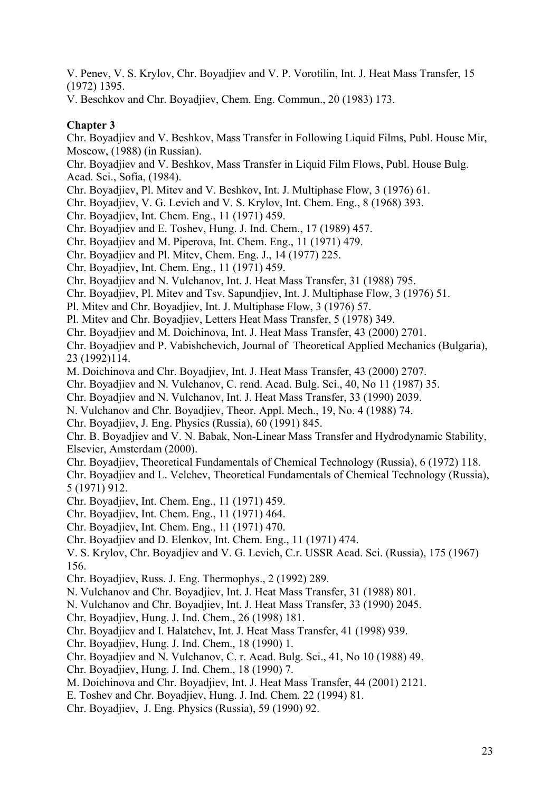V. Penev, V. S. Krylov, Chr. Boyadjiev and V. P. Vorotilin, Int. J. Heat Mass Transfer, 15 (1972) 1395.

V. Beschkov and Chr. Boyadjiev, Chem. Eng. Commun., 20 (1983) 173.

# **Chapter 3**

Chr. Boyadjiev and V. Beshkov, Mass Transfer in Following Liquid Films, Publ. House Mir, Moscow, (1988) (in Russian).

Chr. Boyadjiev and V. Beshkov, Mass Transfer in Liquid Film Flows, Publ. House Bulg. Acad. Sci., Sofia, (1984).

Chr. Boyadjiev, Pl. Mitev and V. Beshkov, Int. J. Multiphase Flow, 3 (1976) 61.

Chr. Boyadjiev, V. G. Levich and V. S. Krylov, Int. Chem. Eng., 8 (1968) 393.

Chr. Boyadjiev, Int. Chem. Eng., 11 (1971) 459.

Chr. Boyadjiev and E. Toshev, Hung. J. Ind. Chem., 17 (1989) 457.

Chr. Boyadjiev and M. Piperova, Int. Chem. Eng., 11 (1971) 479.

Chr. Boyadjiev and Pl. Mitev, Chem. Eng. J., 14 (1977) 225.

Chr. Boyadjiev, Int. Chem. Eng., 11 (1971) 459.

Chr. Boyadjiev and N. Vulchanov, Int. J. Heat Mass Transfer, 31 (1988) 795.

Chr. Boyadjiev, Pl. Mitev and Tsv. Sapundjiev, Int. J. Multiphase Flow, 3 (1976) 51.

Pl. Mitev and Chr. Boyadjiev, Int. J. Multiphase Flow, 3 (1976) 57.

Pl. Mitev and Chr. Boyadjiev, Letters Heat Mass Transfer, 5 (1978) 349.

Chr. Boyadjiev and M. Doichinova, Int. J. Heat Mass Transfer, 43 (2000) 2701.

Chr. Boyadjiev and P. Vabishchevich, Journal of Theoretical Applied Mechanics (Bulgaria), 23 (1992)114.

M. Doichinova and Chr. Boyadjiev, Int. J. Heat Mass Transfer, 43 (2000) 2707.

Chr. Boyadjiev and N. Vulchanov, C. rend. Acad. Bulg. Sci., 40, No 11 (1987) 35.

Chr. Boyadjiev and N. Vulchanov, Int. J. Heat Mass Transfer, 33 (1990) 2039.

N. Vulchanov and Chr. Boyadjiev, Theor. Appl. Mech., 19, No. 4 (1988) 74.

Chr. Boyadjiev, J. Eng. Physics (Russia), 60 (1991) 845.

Chr. B. Boyadjiev and V. N. Babak, Non-Linear Mass Transfer and Hydrodynamic Stability, Elsevier, Amsterdam (2000).

Chr. Boyadjiev, Theoretical Fundamentals of Chemical Technology (Russia), 6 (1972) 118.

Chr. Boyadjiev and L. Velchev, Theoretical Fundamentals of Chemical Technology (Russia), 5 (1971) 912.

Chr. Boyadjiev, Int. Chem. Eng., 11 (1971) 459.

Chr. Boyadjiev, Int. Chem. Eng., 11 (1971) 464.

Chr. Boyadjiev, Int. Chem. Eng., 11 (1971) 470.

Chr. Boyadjiev and D. Elenkov, Int. Chem. Eng., 11 (1971) 474.

V. S. Krylov, Chr. Boyadjiev and V. G. Levich, C.r. USSR Acad. Sci. (Russia), 175 (1967) 156.

Chr. Boyadjiev, Russ. J. Eng. Thermophys., 2 (1992) 289.

N. Vulchanov and Chr. Boyadjiev, Int. J. Heat Mass Transfer, 31 (1988) 801.

N. Vulchanov and Chr. Boyadjiev, Int. J. Heat Mass Transfer, 33 (1990) 2045.

Chr. Boyadjiev, Hung. J. Ind. Chem., 26 (1998) 181.

Chr. Boyadjiev and I. Halatchev, Int. J. Heat Mass Transfer, 41 (1998) 939.

Chr. Boyadjiev, Hung. J. Ind. Chem., 18 (1990) 1.

Chr. Boyadjiev and N. Vulchanov, C. r. Acad. Bulg. Sci., 41, No 10 (1988) 49.

Chr. Boyadjiev, Hung. J. Ind. Chem., 18 (1990) 7.

M. Doichinova and Chr. Boyadjiev, Int. J. Heat Mass Transfer, 44 (2001) 2121.

E. Toshev and Chr. Boyadjiev, Hung. J. Ind. Chem. 22 (1994) 81.

Chr. Boyadjiev, J. Eng. Physics (Russia), 59 (1990) 92.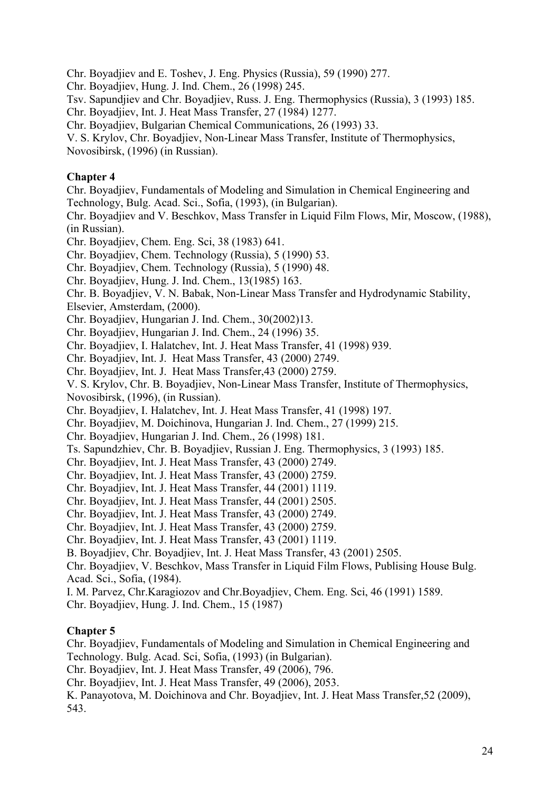Chr. Boyadjiev and E. Toshev, J. Eng. Physics (Russia), 59 (1990) 277.

Chr. Boyadjiev, Hung. J. Ind. Chem., 26 (1998) 245.

Tsv. Sapundjiev and Chr. Boyadjiev, Russ. J. Eng. Thermophysics (Russia), 3 (1993) 185.

Chr. Boyadjiev, Int. J. Heat Mass Transfer, 27 (1984) 1277.

Chr. Boyadjiev, Bulgarian Chemical Communications, 26 (1993) 33.

V. S. Krylov, Chr. Boyadjiev, Non-Linear Mass Transfer, Institute of Thermophysics, Novosibirsk, (1996) (in Russian).

# **Chapter 4**

Chr. Boyadjiev, Fundamentals of Modeling and Simulation in Chemical Engineering and Technology, Bulg. Acad. Sci., Sofia, (1993), (in Bulgarian).

Chr. Boyadjiev and V. Beschkov, Mass Transfer in Liquid Film Flows, Mir, Moscow, (1988), (in Russian).

Chr. Boyadjiev, Chem. Eng. Sci, 38 (1983) 641.

Chr. Boyadjiev, Chem. Technology (Russia), 5 (1990) 53.

Chr. Boyadjiev, Chem. Technology (Russia), 5 (1990) 48.

Chr. Boyadjiev, Hung. J. Ind. Chem., 13(1985) 163.

Chr. B. Boyadjiev, V. N. Babak, Non-Linear Mass Transfer and Hydrodynamic Stability,

Elsevier, Amsterdam, (2000).

Chr. Boyadjiev, Hungarian J. Ind. Chem., 30(2002)13.

Chr. Boyadjiev, Hungarian J. Ind. Chem., 24 (1996) 35.

Chr. Boyadjiev, I. Halatchev, Int. J. Heat Mass Transfer, 41 (1998) 939.

Chr. Boyadjiev, Int. J. Heat Mass Transfer, 43 (2000) 2749.

Chr. Boyadjiev, Int. J. Heat Mass Transfer,43 (2000) 2759.

V. S. Krylov, Chr. B. Boyadjiev, Non-Linear Mass Transfer, Institute of Thermophysics, Novosibirsk, (1996), (in Russian).

Chr. Boyadjiev, I. Halatchev, Int. J. Heat Mass Transfer, 41 (1998) 197.

Chr. Boyadjiev, M. Doichinova, Hungarian J. Ind. Chem., 27 (1999) 215.

Chr. Boyadjiev, Hungarian J. Ind. Chem., 26 (1998) 181.

Ts. Sapundzhiev, Chr. B. Boyadjiev, Russian J. Eng. Thermophysics, 3 (1993) 185.

Chr. Boyadjiev, Int. J. Heat Mass Transfer, 43 (2000) 2749.

Chr. Boyadjiev, Int. J. Heat Mass Transfer, 43 (2000) 2759.

Chr. Boyadjiev, Int. J. Heat Mass Transfer, 44 (2001) 1119.

Chr. Boyadjiev, Int. J. Heat Mass Transfer, 44 (2001) 2505.

Chr. Boyadjiev, Int. J. Heat Mass Transfer, 43 (2000) 2749.

Chr. Boyadjiev, Int. J. Heat Mass Transfer, 43 (2000) 2759.

Chr. Boyadjiev, Int. J. Heat Mass Transfer, 43 (2001) 1119.

B. Boyadjiev, Chr. Boyadjiev, Int. J. Heat Mass Transfer, 43 (2001) 2505.

Chr. Boyadjiev, V. Beschkov, Mass Transfer in Liquid Film Flows, Publising House Bulg. Acad. Sci., Sofia, (1984).

I. M. Parvez, Chr.Karagiozov and Chr.Boyadjiev, Chem. Eng. Sci, 46 (1991) 1589.

Chr. Boyadjiev, Hung. J. Ind. Chem., 15 (1987)

# **Chapter 5**

Chr. Boyadjiev, Fundamentals of Modeling and Simulation in Chemical Engineering and Technology. Bulg. Acad. Sci, Sofia, (1993) (in Bulgarian).

Chr. Boyadjiev, Int. J. Heat Mass Transfer, 49 (2006), 796.

Chr. Boyadjiev, Int. J. Heat Mass Transfer, 49 (2006), 2053.

K. Panayotova, M. Doichinova and Chr. Boyadjiev, Int. J. Heat Mass Transfer,52 (2009), 543.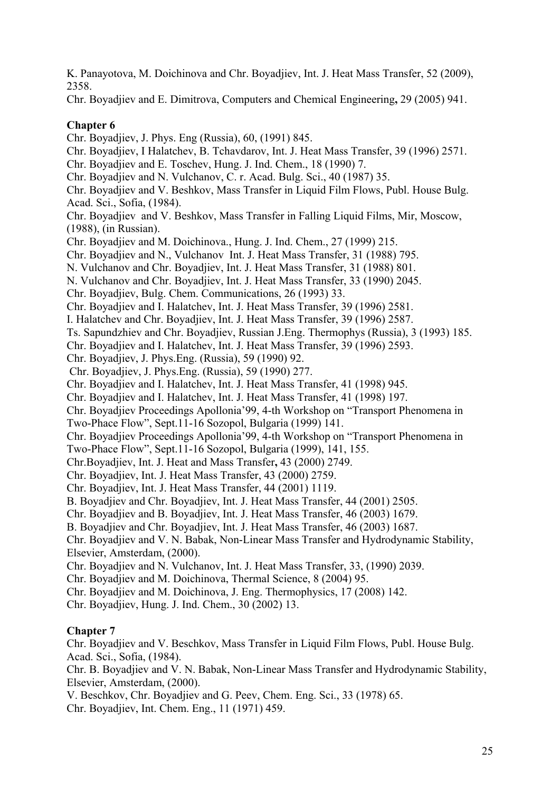K. Panayotova, M. Doichinova and Chr. Boyadjiev, Int. J. Heat Mass Transfer, 52 (2009), 2358.

Chr. Boyadjiev and E. Dimitrova, Computers and Chemical Engineering**,** 29 (2005) 941.

# **Chapter 6**

Chr. Boyadjiev, J. Phys. Eng (Russia), 60, (1991) 845.

- Chr. Boyadjiev, I Halatchev, B. Tchavdarov, Int. J. Heat Mass Transfer, 39 (1996) 2571.
- Chr. Boyadjiev and E. Toschev, Hung. J. Ind. Chem., 18 (1990) 7.
- Chr. Boyadjiev and N. Vulchanov, C. r. Acad. Bulg. Sci., 40 (1987) 35.

Chr. Boyadjiev and V. Beshkov, Mass Transfer in Liquid Film Flows, Publ. House Bulg. Acad. Sci., Sofia, (1984).

Chr. Boyadjiev and V. Beshkov, Mass Transfer in Falling Liquid Films, Mir, Moscow, (1988), (in Russian).

Chr. Boyadjiev and M. Doichinova., Hung. J. Ind. Chem., 27 (1999) 215.

Chr. Boyadjiev and N., Vulchanov Int. J. Heat Mass Transfer, 31 (1988) 795.

- N. Vulchanov and Chr. Boyadjiev, Int. J. Heat Mass Transfer, 31 (1988) 801.
- N. Vulchanov and Chr. Boyadjiev, Int. J. Heat Mass Transfer, 33 (1990) 2045.

Chr. Boyadjiev, Bulg. Chem. Communications, 26 (1993) 33.

Chr. Boyadjiev and I. Halatchev, Int. J. Heat Mass Transfer, 39 (1996) 2581.

I. Halatchev and Chr. Boyadjiev, Int. J. Heat Mass Transfer, 39 (1996) 2587.

Ts. Sapundzhiev and Chr. Boyadjiev, Russian J.Eng. Thermophys (Russia), 3 (1993) 185.

Chr. Boyadjiev and I. Halatchev, Int. J. Heat Mass Transfer, 39 (1996) 2593.

Chr. Boyadjiev, J. Phys.Eng. (Russia), 59 (1990) 92.

- Chr. Boyadjiev, J. Phys.Eng. (Russia), 59 (1990) 277.
- Chr. Boyadjiev and I. Halatchev, Int. J. Heat Mass Transfer, 41 (1998) 945.
- Chr. Boyadjiev and I. Halatchev, Int. J. Heat Mass Transfer, 41 (1998) 197.

Chr. Boyadjiev Proceedings Apollonia'99, 4-th Workshop on "Transport Phenomena in

Two-Phace Flow", Sept.11-16 Sozopol, Bulgaria (1999) 141.

Chr. Boyadjiev Proceedings Apollonia'99, 4-th Workshop on "Transport Phenomena in

Two-Phace Flow", Sept.11-16 Sozopol, Bulgaria (1999), 141, 155.

- Chr.Boyadjiev, Int. J. Heat and Mass Transfer**,** 43 (2000) 2749.
- Chr. Boyadjiev, Int. J. Heat Mass Transfer, 43 (2000) 2759.

Chr. Boyadjiev, Int. J. Heat Mass Transfer, 44 (2001) 1119.

B. Boyadjiev and Chr. Boyadjiev, Int. J. Heat Mass Transfer, 44 (2001) 2505.

Chr. Boyadjiev and B. Boyadjiev, Int. J. Heat Mass Transfer, 46 (2003) 1679.

B. Boyadjiev and Chr. Boyadjiev, Int. J. Heat Mass Transfer, 46 (2003) 1687.

Chr. Boyadjiev and V. N. Babak, Non-Linear Mass Transfer and Hydrodynamic Stability, Elsevier, Amsterdam, (2000).

Chr. Boyadjiev and N. Vulchanov, Int. J. Heat Mass Transfer, 33, (1990) 2039.

Chr. Boyadjiev and M. Doichinova, Thermal Science, 8 (2004) 95.

Chr. Boyadjiev and M. Doichinova, J. Eng. Thermophysics, 17 (2008) 142.

Chr. Boyadjiev, Hung. J. Ind. Chem., 30 (2002) 13.

# **Chapter 7**

Chr. Boyadjiev and V. Beschkov, Mass Transfer in Liquid Film Flows, Publ. House Bulg. Acad. Sci., Sofia, (1984).

Chr. B. Boyadjiev and V. N. Babak, Non-Linear Mass Transfer and Hydrodynamic Stability, Elsevier, Amsterdam, (2000).

V. Beschkov, Chr. Boyadjiev and G. Peev, Chem. Eng. Sci., 33 (1978) 65.

Chr. Boyadjiev, Int. Chem. Eng., 11 (1971) 459.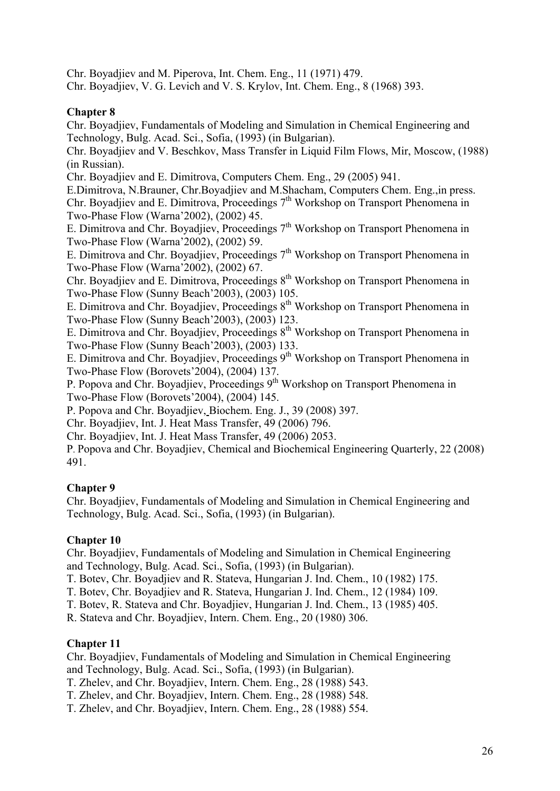Chr. Boyadjiev and M. Piperova, Int. Chem. Eng., 11 (1971) 479.

Chr. Boyadjiev, V. G. Levich and V. S. Krylov, Int. Chem. Eng., 8 (1968) 393.

# **Chapter 8**

Chr. Boyadjiev, Fundamentals of Modeling and Simulation in Chemical Engineering and Technology, Bulg. Acad. Sci., Sofia, (1993) (in Bulgarian).

Chr. Boyadjiev and V. Beschkov, Mass Transfer in Liquid Film Flows, Mir, Moscow, (1988) (in Russian).

Chr. Boyadjiev and E. Dimitrova, Computers Chem. Eng., 29 (2005) 941.

E.Dimitrova, N.Brauner, Chr.Boyadjiev and M.Shacham, Computers Chem. Eng.,in press. Chr. Boyadiiev and E. Dimitrova, Proceedings  $7<sup>th</sup>$  Workshop on Transport Phenomena in Two-Phase Flow (Warna'2002), (2002) 45.

E. Dimitrova and Chr. Boyadiiev, Proceedings  $7<sup>th</sup>$  Workshop on Transport Phenomena in Two-Phase Flow (Warna'2002), (2002) 59.

E. Dimitrova and Chr. Boyadiiev, Proceedings  $7<sup>th</sup>$  Workshop on Transport Phenomena in Two-Phase Flow (Warna'2002), (2002) 67.

Chr. Boyadjiev and E. Dimitrova, Proceedings 8<sup>th</sup> Workshop on Transport Phenomena in Two-Phase Flow (Sunny Beach'2003), (2003) 105.

E. Dimitrova and Chr. Boyadjiev, Proceedings 8<sup>th</sup> Workshop on Transport Phenomena in Two-Phase Flow (Sunny Beach'2003), (2003) 123.

E. Dimitrova and Chr. Boyadjiev, Proceedings  $8<sup>th</sup>$  Workshop on Transport Phenomena in Two-Phase Flow (Sunny Beach'2003), (2003) 133.

E. Dimitrova and Chr. Boyadjiev, Proceedings 9<sup>th</sup> Workshop on Transport Phenomena in Two-Phase Flow (Borovets'2004), (2004) 137.

P. Popova and Chr. Boyadiiev, Proceedings 9<sup>th</sup> Workshop on Transport Phenomena in Two-Phase Flow (Borovets'2004), (2004) 145.

P. Popova and Chr. Boyadjiev, Biochem. Eng. J., 39 (2008) 397.

Chr. Boyadjiev, Int. J. Heat Mass Transfer, 49 (2006) 796.

Chr. Boyadjiev, Int. J. Heat Mass Transfer, 49 (2006) 2053.

P. Popova and Chr. Boyadjiev, Chemical and Biochemical Engineering Quarterly, 22 (2008) 491.

# **Chapter 9**

Chr. Boyadjiev, Fundamentals of Modeling and Simulation in Chemical Engineering and Technology, Bulg. Acad. Sci., Sofia, (1993) (in Bulgarian).

# **Chapter 10**

Chr. Boyadjiev, Fundamentals of Modeling and Simulation in Chemical Engineering and Technology, Bulg. Acad. Sci., Sofia, (1993) (in Bulgarian).

T. Botev, Chr. Boyadjiev and R. Stateva, Hungarian J. Ind. Chem., 10 (1982) 175.

T. Botev, Chr. Boyadjiev and R. Stateva, Hungarian J. Ind. Chem., 12 (1984) 109.

T. Botev, R. Stateva and Chr. Boyadjiev, Hungarian J. Ind. Chem., 13 (1985) 405.

R. Stateva and Chr. Boyadjiev, Intern. Chem. Eng., 20 (1980) 306.

# **Chapter 11**

Chr. Boyadjiev, Fundamentals of Modeling and Simulation in Chemical Engineering and Technology, Bulg. Acad. Sci., Sofia, (1993) (in Bulgarian).

T. Zhelev, and Chr. Boyadjiev, Intern. Chem. Eng., 28 (1988) 543.

T. Zhelev, and Chr. Boyadjiev, Intern. Chem. Eng., 28 (1988) 548.

T. Zhelev, and Chr. Boyadjiev, Intern. Chem. Eng., 28 (1988) 554.